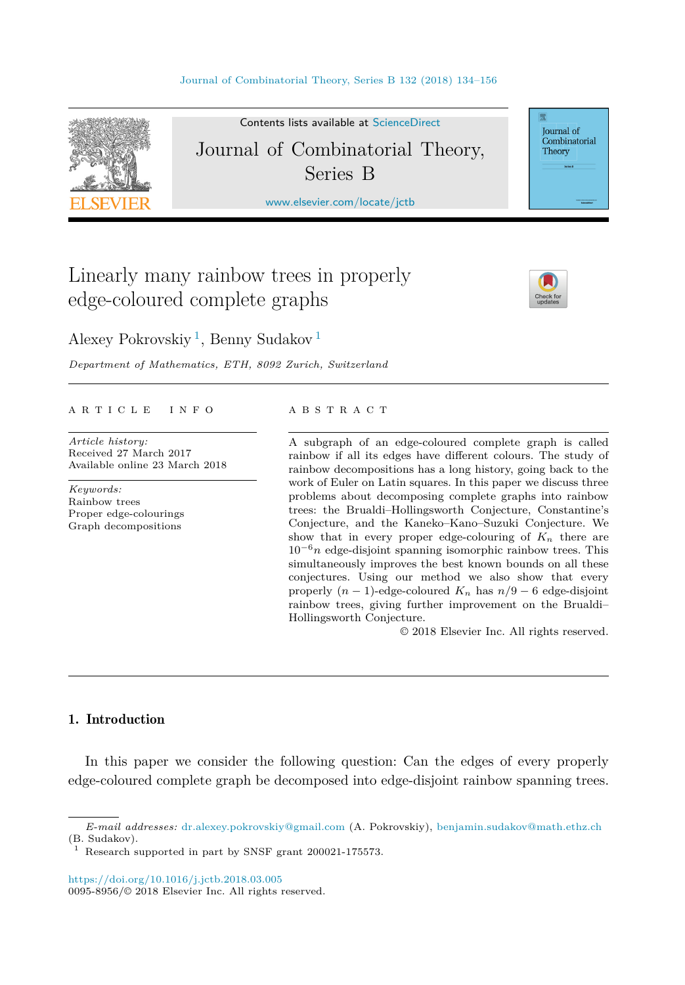

Contents lists available at [ScienceDirect](http://www.ScienceDirect.com/) Journal of Combinatorial Theory, Series B

[www.elsevier.com/locate/jctb](http://www.elsevier.com/locate/jctb)

# Linearly many rainbow trees in properly edge-coloured complete graphs



Journal of Combinatorial Theory

Alexey Pokrovskiy <sup>1</sup>, Benny Sudakov <sup>1</sup>

*Department of Mathematics, ETH, 8092 Zurich, Switzerland*

# A R T I C L E I N F O A B S T R A C T

*Article history:* Received 27 March 2017 Available online 23 March 2018

*Keywords:* Rainbow trees Proper edge-colourings Graph decompositions

A subgraph of an edge-coloured complete graph is called rainbow if all its edges have different colours. The study of rainbow decompositions has a long history, going back to the work of Euler on Latin squares. In this paper we discuss three problems about decomposing complete graphs into rainbow trees: the Brualdi–Hollingsworth Conjecture, Constantine's Conjecture, and the Kaneko–Kano–Suzuki Conjecture. We show that in every proper edge-colouring of  $K_n$  there are 10−6*n* edge-disjoint spanning isomorphic rainbow trees. This simultaneously improves the best known bounds on all these conjectures. Using our method we also show that every properly  $(n-1)$ -edge-coloured  $K_n$  has  $n/9-6$  edge-disjoint rainbow trees, giving further improvement on the Brualdi– Hollingsworth Conjecture.

© 2018 Elsevier Inc. All rights reserved.

# 1. Introduction

In this paper we consider the following question: Can the edges of every properly edge-coloured complete graph be decomposed into edge-disjoint rainbow spanning trees.

*E-mail addresses:* [dr.alexey.pokrovskiy@gmail.com](mailto:dr.alexey.pokrovskiy@gmail.com) (A. Pokrovskiy), [benjamin.sudakov@math.ethz.ch](mailto:benjamin.sudakov@math.ethz.ch) (B. Sudakov).

Research supported in part by SNSF grant 200021-175573.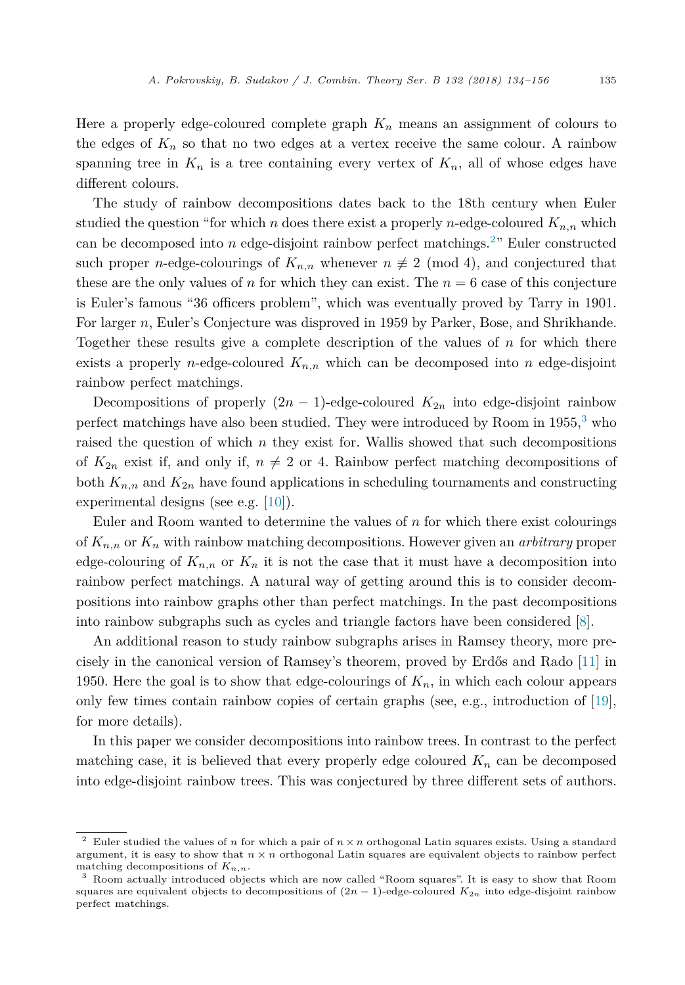Here a properly edge-coloured complete graph  $K_n$  means an assignment of colours to the edges of  $K_n$  so that no two edges at a vertex receive the same colour. A rainbow spanning tree in  $K_n$  is a tree containing every vertex of  $K_n$ , all of whose edges have different colours.

The study of rainbow decompositions dates back to the 18th century when Euler studied the question "for which *n* does there exist a properly *n*-edge-coloured  $K_{n,n}$  which can be decomposed into *n* edge-disjoint rainbow perfect matchings.<sup>2</sup>" Euler constructed such proper *n*-edge-colourings of  $K_{n,n}$  whenever  $n \not\equiv 2 \pmod{4}$ , and conjectured that these are the only values of *n* for which they can exist. The  $n = 6$  case of this conjecture is Euler's famous "36 officers problem", which was eventually proved by Tarry in 1901. For larger *n*, Euler's Conjecture was disproved in 1959 by Parker, Bose, and Shrikhande. Together these results give a complete description of the values of *n* for which there exists a properly *n*-edge-coloured  $K_{n,n}$  which can be decomposed into *n* edge-disjoint rainbow perfect matchings.

Decompositions of properly  $(2n - 1)$ -edge-coloured  $K_{2n}$  into edge-disjoint rainbow perfect matchings have also been studied. They were introduced by Room in  $1955<sup>3</sup>$  who raised the question of which  $n$  they exist for. Wallis showed that such decompositions of  $K_{2n}$  exist if, and only if,  $n \neq 2$  or 4. Rainbow perfect matching decompositions of both  $K_{n,n}$  and  $K_{2n}$  have found applications in scheduling tournaments and constructing experimental designs (see e.g. [\[10\]](#page-22-0)).

Euler and Room wanted to determine the values of *n* for which there exist colourings of *Kn,n* or *K<sup>n</sup>* with rainbow matching decompositions. However given an *arbitrary* proper edge-colouring of  $K_{n,n}$  or  $K_n$  it is not the case that it must have a decomposition into rainbow perfect matchings. A natural way of getting around this is to consider decompositions into rainbow graphs other than perfect matchings. In the past decompositions into rainbow subgraphs such as cycles and triangle factors have been considered [\[8\]](#page-22-0).

An additional reason to study rainbow subgraphs arises in Ramsey theory, more precisely in the canonical version of Ramsey's theorem, proved by Erdős and Rado [\[11\]](#page-22-0) in 1950. Here the goal is to show that edge-colourings of *Kn*, in which each colour appears only few times contain rainbow copies of certain graphs (see, e.g., introduction of [\[19\]](#page-22-0), for more details).

In this paper we consider decompositions into rainbow trees. In contrast to the perfect matching case, it is believed that every properly edge coloured  $K_n$  can be decomposed into edge-disjoint rainbow trees. This was conjectured by three different sets of authors.

<sup>2</sup> Euler studied the values of *<sup>n</sup>* for which <sup>a</sup> pair of *<sup>n</sup>* <sup>×</sup> *<sup>n</sup>* orthogonal Latin squares exists. Using <sup>a</sup> standard argument, it is easy to show that  $n \times n$  orthogonal Latin squares are equivalent objects to rainbow perfect matching decompositions of *Kn,n*.

<sup>3</sup> Room actually introduced objects which are now called "Room squares". It is easy to show that Room squares are equivalent objects to decompositions of  $(2n - 1)$ -edge-coloured  $K_{2n}$  into edge-disjoint rainbow perfect matchings.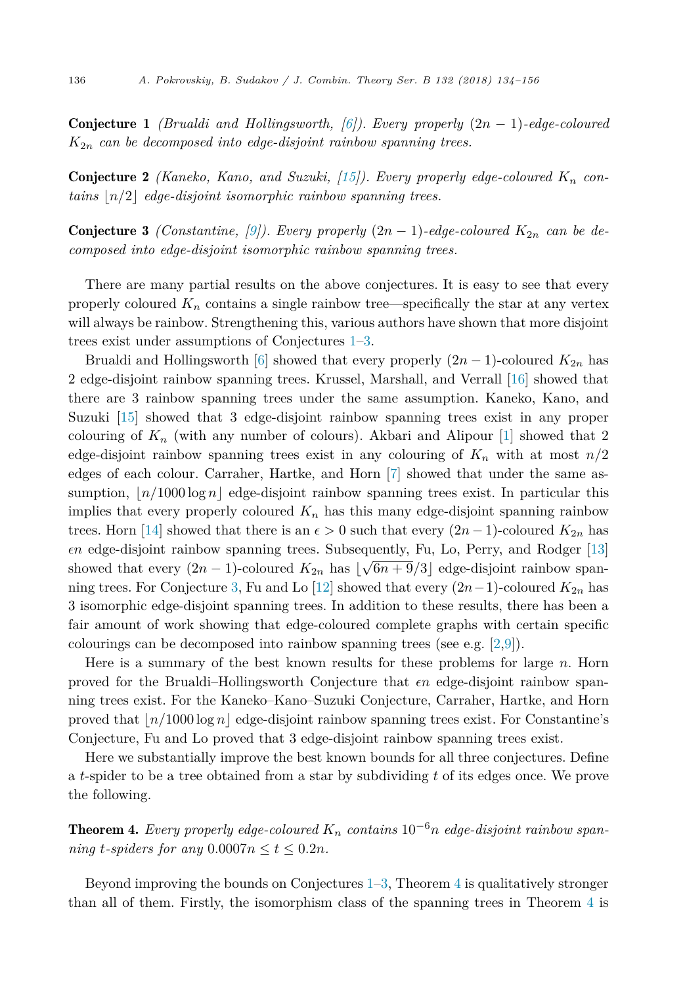<span id="page-2-0"></span>Conjecture 1 *(Brualdi and Hollingsworth, [\[6\]](#page-22-0)). Every properly* (2*n* − 1)*-edge-coloured K*2*<sup>n</sup> can be decomposed into edge-disjoint rainbow spanning trees.*

Conjecture 2 *(Kaneko, Kano, and Suzuki, [\[15\]](#page-22-0)). Every properly edge-coloured K<sup>n</sup> contains n/*2 *edge-disjoint isomorphic rainbow spanning trees.*

**Conjecture 3** *(Constantine, [\[9\]](#page-22-0)). Every properly*  $(2n - 1)$ *-edge-coloured*  $K_{2n}$  *can be decomposed into edge-disjoint isomorphic rainbow spanning trees.*

There are many partial results on the above conjectures. It is easy to see that every properly coloured  $K_n$  contains a single rainbow tree—specifically the star at any vertex will always be rainbow. Strengthening this, various authors have shown that more disjoint trees exist under assumptions of Conjectures 1–3.

Brualdi and Hollingsworth [\[6\]](#page-22-0) showed that every properly  $(2n - 1)$ -coloured  $K_{2n}$  has 2 edge-disjoint rainbow spanning trees. Krussel, Marshall, and Verrall [\[16\]](#page-22-0) showed that there are 3 rainbow spanning trees under the same assumption. Kaneko, Kano, and Suzuki [\[15\]](#page-22-0) showed that 3 edge-disjoint rainbow spanning trees exist in any proper colouring of  $K_n$  (with any number of colours). Akbari and Alipour [\[1\]](#page-22-0) showed that 2 edge-disjoint rainbow spanning trees exist in any colouring of  $K_n$  with at most  $n/2$ edges of each colour. Carraher, Hartke, and Horn [\[7\]](#page-22-0) showed that under the same assumption,  $n/1000 \log n$  edge-disjoint rainbow spanning trees exist. In particular this implies that every properly coloured  $K_n$  has this many edge-disjoint spanning rainbow trees. Horn [\[14\]](#page-22-0) showed that there is an  $\epsilon > 0$  such that every  $(2n - 1)$ -coloured  $K_{2n}$  has *-n* edge-disjoint rainbow spanning trees. Subsequently, Fu, Lo, Perry, and Rodger [\[13\]](#page-22-0) showed that every  $(2n - 1)$ -coloured  $K_{2n}$  has  $\lfloor \sqrt{6n + 9}/3 \rfloor$  edge-disjoint rainbow span-ning trees. For Conjecture 3, Fu and Lo [\[12\]](#page-22-0) showed that every  $(2n-1)$ -coloured  $K_{2n}$  has 3 isomorphic edge-disjoint spanning trees. In addition to these results, there has been a fair amount of work showing that edge-coloured complete graphs with certain specific colourings can be decomposed into rainbow spanning trees (see e.g. [\[2,9\]](#page-22-0)).

Here is a summary of the best known results for these problems for large *n*. Horn proved for the Brualdi–Hollingsworth Conjecture that  $\epsilon n$  edge-disjoint rainbow spanning trees exist. For the Kaneko–Kano–Suzuki Conjecture, Carraher, Hartke, and Horn proved that  $n/1000 \log n$  edge-disjoint rainbow spanning trees exist. For Constantine's Conjecture, Fu and Lo proved that 3 edge-disjoint rainbow spanning trees exist.

Here we substantially improve the best known bounds for all three conjectures. Define a *t*-spider to be a tree obtained from a star by subdividing *t* of its edges once. We prove the following.

**Theorem 4.** Every properly edge-coloured  $K_n$  contains  $10^{-6}n$  edge-disjoint rainbow span*ning t-spiders for any*  $0.0007n \le t \le 0.2n$ *.* 

Beyond improving the bounds on Conjectures  $1-3$ , Theorem 4 is qualitatively stronger than all of them. Firstly, the isomorphism class of the spanning trees in Theorem 4 is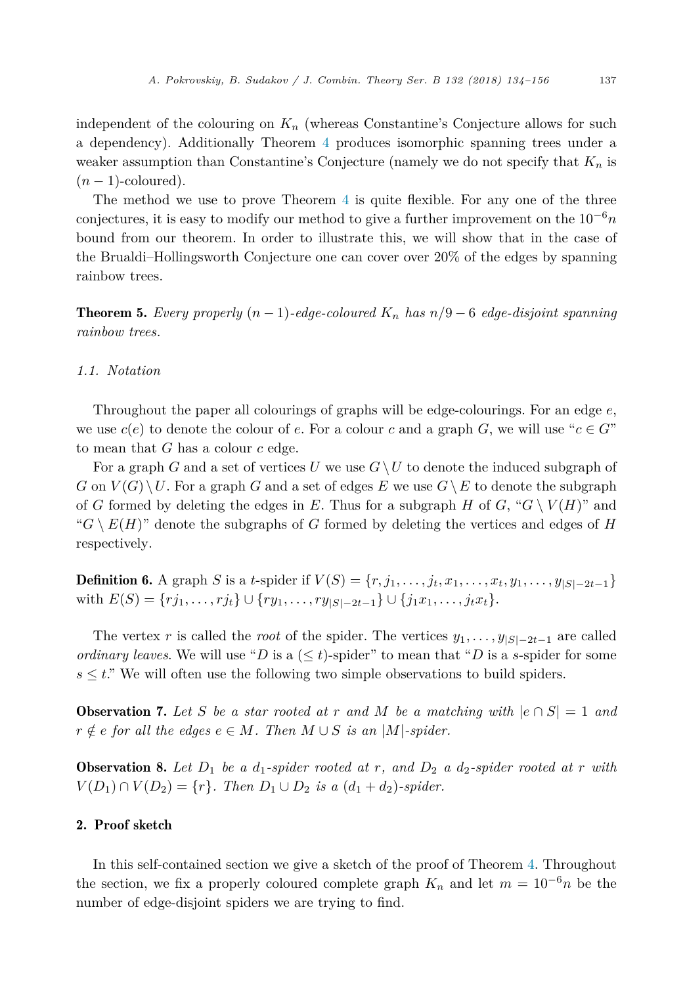<span id="page-3-0"></span>independent of the colouring on  $K_n$  (whereas Constantine's Conjecture allows for such a dependency). Additionally Theorem [4](#page-2-0) produces isomorphic spanning trees under a weaker assumption than Constantine's Conjecture (namely we do not specify that *K<sup>n</sup>* is  $(n-1)$ -coloured).

The method we use to prove Theorem [4](#page-2-0) is quite flexible. For any one of the three conjectures, it is easy to modify our method to give a further improvement on the 10−<sup>6</sup>*n* bound from our theorem. In order to illustrate this, we will show that in the case of the Brualdi–Hollingsworth Conjecture one can cover over 20% of the edges by spanning rainbow trees.

**Theorem 5.** Every properly  $(n-1)$ -edge-coloured  $K_n$  has  $n/9-6$  edge-disjoint spanning *rainbow trees.*

### *1.1. Notation*

Throughout the paper all colourings of graphs will be edge-colourings. For an edge *e*, we use  $c(e)$  to denote the colour of *e*. For a colour *c* and a graph *G*, we will use " $c \in G$ " to mean that *G* has a colour *c* edge.

For a graph *G* and a set of vertices *U* we use  $G \setminus U$  to denote the induced subgraph of  $G$  on  $V(G) \setminus U$ . For a graph *G* and a set of edges *E* we use  $G \setminus E$  to denote the subgraph of *G* formed by deleting the edges in *E*. Thus for a subgraph *H* of *G*, " $G \setminus V(H)$ " and " $G \setminus E(H)$ " denote the subgraphs of *G* formed by deleting the vertices and edges of *H* respectively.

**Definition 6.** A graph S is a t-spider if  $V(S) = \{r, j_1, \ldots, j_t, x_1, \ldots, x_t, y_1, \ldots, y_{|S|-2t-1}\}\$ *with*  $E(S) = \{rj_1, \ldots, rj_t\} \cup \{ry_1, \ldots, ry_{|S|-2t-1}\} \cup \{j_1x_1, \ldots, j_tx_t\}.$ 

The vertex *r* is called the *root* of the spider. The vertices  $y_1, \ldots, y_{|S|-2t-1}$  are called *ordinary leaves*. We will use "*D* is a  $(\leq t)$ -spider" to mean that "*D* is a *s*-spider for some  $s \leq t$ ." We will often use the following two simple observations to build spiders.

**Observation 7.** Let S be a star rooted at r and M be a matching with  $|e \cap S| = 1$  and  $r \notin e$  *for all the edges*  $e \in M$ *. Then*  $M \cup S$  *is an*  $|M|$ *-spider.* 

**Observation 8.** Let  $D_1$  be a  $d_1$ -spider rooted at  $r$ , and  $D_2$  a  $d_2$ -spider rooted at  $r$  with *V*(*D*<sub>1</sub>) ∩ *V*(*D*<sub>2</sub>) = {*r*}*. Then D*<sub>1</sub> ∪ *D*<sub>2</sub> *is a* (*d*<sub>1</sub> + *d*<sub>2</sub>)*-spider.* 

# 2. Proof sketch

In this self-contained section we give a sketch of the proof of Theorem [4.](#page-2-0) Throughout the section, we fix a properly coloured complete graph  $K_n$  and let  $m = 10^{-6}n$  be the number of edge-disjoint spiders we are trying to find.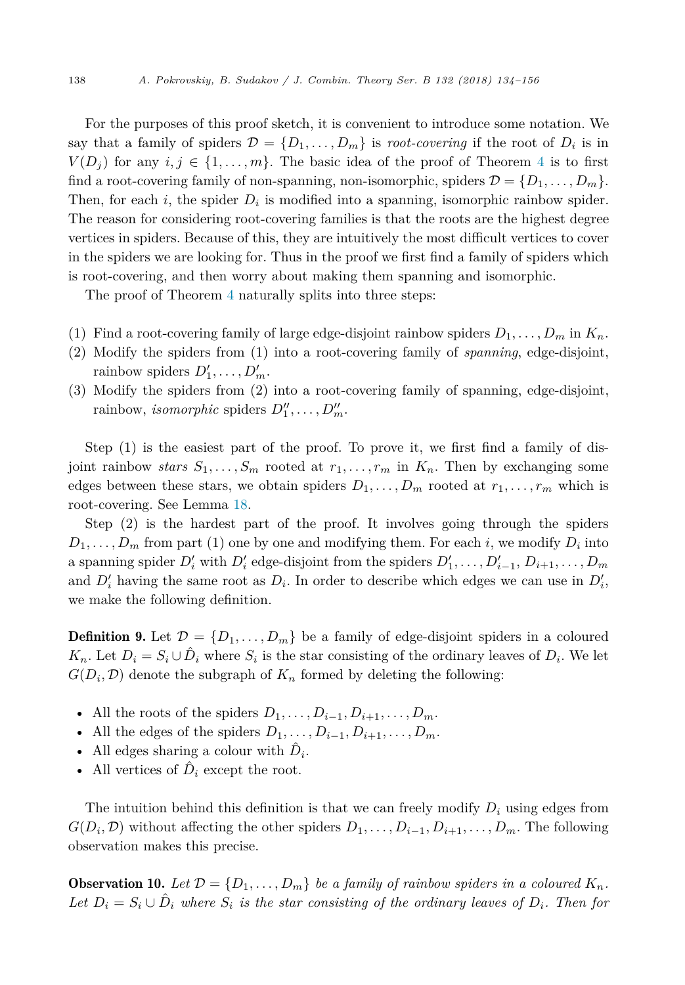<span id="page-4-0"></span>For the purposes of this proof sketch, it is convenient to introduce some notation. We say that a family of spiders  $\mathcal{D} = \{D_1, \ldots, D_m\}$  is *root-covering* if the root of  $D_i$  is in  $V(D_i)$  for any  $i, j \in \{1, \ldots, m\}$ . The basic idea of the proof of Theorem [4](#page-2-0) is to first find a root-covering family of non-spanning, non-isomorphic, spiders  $\mathcal{D} = \{D_1, \ldots, D_m\}$ . Then, for each  $i$ , the spider  $D_i$  is modified into a spanning, isomorphic rainbow spider. The reason for considering root-covering families is that the roots are the highest degree vertices in spiders. Because of this, they are intuitively the most difficult vertices to cover in the spiders we are looking for. Thus in the proof we first find a family of spiders which is root-covering, and then worry about making them spanning and isomorphic.

The proof of Theorem [4](#page-2-0) naturally splits into three steps:

- (1) Find a root-covering family of large edge-disjoint rainbow spiders  $D_1, \ldots, D_m$  in  $K_n$ .
- (2) Modify the spiders from (1) into a root-covering family of *spanning*, edge-disjoint, rainbow spiders  $D'_1, \ldots, D'_m$ .
- (3) Modify the spiders from (2) into a root-covering family of spanning, edge-disjoint, rainbow, *isomorphic* spiders  $D_1'', \ldots, D_m''$ .

Step (1) is the easiest part of the proof. To prove it, we first find a family of disjoint rainbow *stars*  $S_1, \ldots, S_m$  rooted at  $r_1, \ldots, r_m$  in  $K_n$ . Then by exchanging some edges between these stars, we obtain spiders  $D_1, \ldots, D_m$  rooted at  $r_1, \ldots, r_m$  which is root-covering. See Lemma [18.](#page-12-0)

Step (2) is the hardest part of the proof. It involves going through the spiders  $D_1, \ldots, D_m$  from part (1) one by one and modifying them. For each *i*, we modify  $D_i$  into a spanning spider  $D'_i$  with  $D'_i$  edge-disjoint from the spiders  $D'_1, \ldots, D'_{i-1}, D_{i+1}, \ldots, D_m$ and  $D_i'$  having the same root as  $D_i$ . In order to describe which edges we can use in  $D_i'$ , we make the following definition.

**Definition 9.** Let  $\mathcal{D} = \{D_1, \ldots, D_m\}$  be a family of edge-disjoint spiders in a coloured  $K_n$ . Let  $D_i = S_i \cup D_i$  where  $S_i$  is the star consisting of the ordinary leaves of  $D_i$ . We let  $G(D_i, \mathcal{D})$  denote the subgraph of  $K_n$  formed by deleting the following:

- All the roots of the spiders  $D_1, \ldots, D_{i-1}, D_{i+1}, \ldots, D_m$ .
- All the edges of the spiders  $D_1, \ldots, D_{i-1}, D_{i+1}, \ldots, D_m$ .
- All edges sharing a colour with  $D_i$ .
- All vertices of  $\ddot{D}_i$  except the root.

The intuition behind this definition is that we can freely modify *D<sup>i</sup>* using edges from *G*(*D*<sub>*i*</sub>, *D*) without affecting the other spiders  $D_1, \ldots, D_{i-1}, D_{i+1}, \ldots, D_m$ . The following observation makes this precise.

**Observation 10.** Let  $\mathcal{D} = \{D_1, \ldots, D_m\}$  be a family of rainbow spiders in a coloured  $K_n$ . Let  $D_i = S_i \cup \hat{D}_i$  where  $S_i$  is the star consisting of the ordinary leaves of  $D_i$ . Then for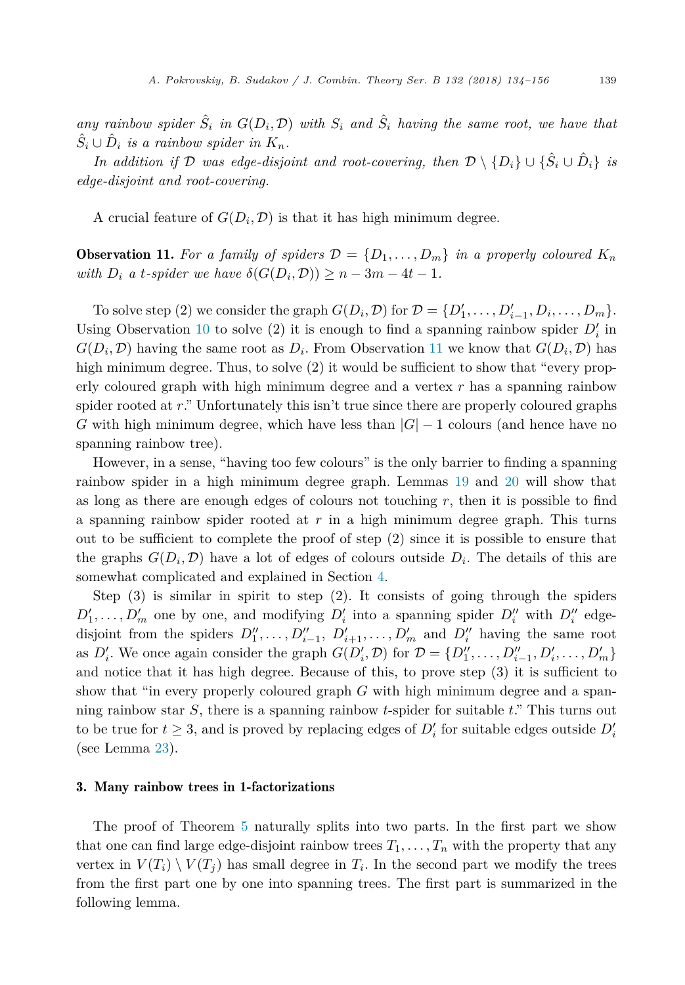any rainbow spider  $\hat{S}_i$  in  $G(D_i, \mathcal{D})$  with  $S_i$  and  $\hat{S}_i$  having the same root, we have that  $\hat{S}_i \cup \hat{D}_i$  *is a rainbow spider in*  $K_n$ .

*In addition if*  $D$  *was edge-disjoint and root-covering, then*  $D \setminus \{D_i\} \cup \{\hat{S}_i \cup \hat{D}_i\}$  *is edge-disjoint and root-covering.*

A crucial feature of  $G(D_i, \mathcal{D})$  is that it has high minimum degree.

**Observation 11.** For a family of spiders  $\mathcal{D} = \{D_1, \ldots, D_m\}$  in a properly coloured  $K_n$ *with*  $D_i$  *a t-spider we have*  $\delta(G(D_i, \mathcal{D})) \geq n - 3m - 4t - 1$ *.* 

To solve step (2) we consider the graph  $G(D_i, \mathcal{D})$  for  $\mathcal{D} = \{D'_1, \ldots, D'_{i-1}, D_i, \ldots, D_m\}.$ Using Observation [10](#page-4-0) to solve (2) it is enough to find a spanning rainbow spider  $D_i$  in  $G(D_i, \mathcal{D})$  having the same root as  $D_i$ . From Observation 11 we know that  $G(D_i, \mathcal{D})$  has high minimum degree. Thus, to solve (2) it would be sufficient to show that "every properly coloured graph with high minimum degree and a vertex *r* has a spanning rainbow spider rooted at *r*." Unfortunately this isn't true since there are properly coloured graphs *G* with high minimum degree, which have less than  $|G| - 1$  colours (and hence have no spanning rainbow tree).

However, in a sense, "having too few colours" is the only barrier to finding a spanning rainbow spider in a high minimum degree graph. Lemmas [19](#page-13-0) and [20](#page-15-0) will show that as long as there are enough edges of colours not touching  $r$ , then it is possible to find a spanning rainbow spider rooted at *r* in a high minimum degree graph. This turns out to be sufficient to complete the proof of step (2) since it is possible to ensure that the graphs  $G(D_i, \mathcal{D})$  have a lot of edges of colours outside  $D_i$ . The details of this are somewhat complicated and explained in Section [4.](#page-10-0)

Step (3) is similar in spirit to step (2). It consists of going through the spiders  $D'_1, \ldots, D'_m$  one by one, and modifying  $D'_i$  into a spanning spider  $D''_i$  with  $D''_i$  edgedisjoint from the spiders  $D''_1, \ldots, D''_{i-1}, D'_{i+1}, \ldots, D'_m$  and  $D''_i$  having the same root as  $D'_i$ . We once again consider the graph  $G(D'_i, \mathcal{D})$  for  $\mathcal{D} = \{D''_1, \ldots, D''_{i-1}, D'_i, \ldots, D'_m\}$ and notice that it has high degree. Because of this, to prove step (3) it is sufficient to show that "in every properly coloured graph *G* with high minimum degree and a spanning rainbow star *S*, there is a spanning rainbow *t*-spider for suitable *t*." This turns out to be true for  $t \geq 3$ , and is proved by replacing edges of  $D_i'$  for suitable edges outside  $D_i'$ (see Lemma [23\)](#page-18-0).

# 3. Many rainbow trees in 1-factorizations

The proof of Theorem [5](#page-3-0) naturally splits into two parts. In the first part we show that one can find large edge-disjoint rainbow trees  $T_1, \ldots, T_n$  with the property that any vertex in  $V(T_i) \setminus V(T_i)$  has small degree in  $T_i$ . In the second part we modify the trees from the first part one by one into spanning trees. The first part is summarized in the following lemma.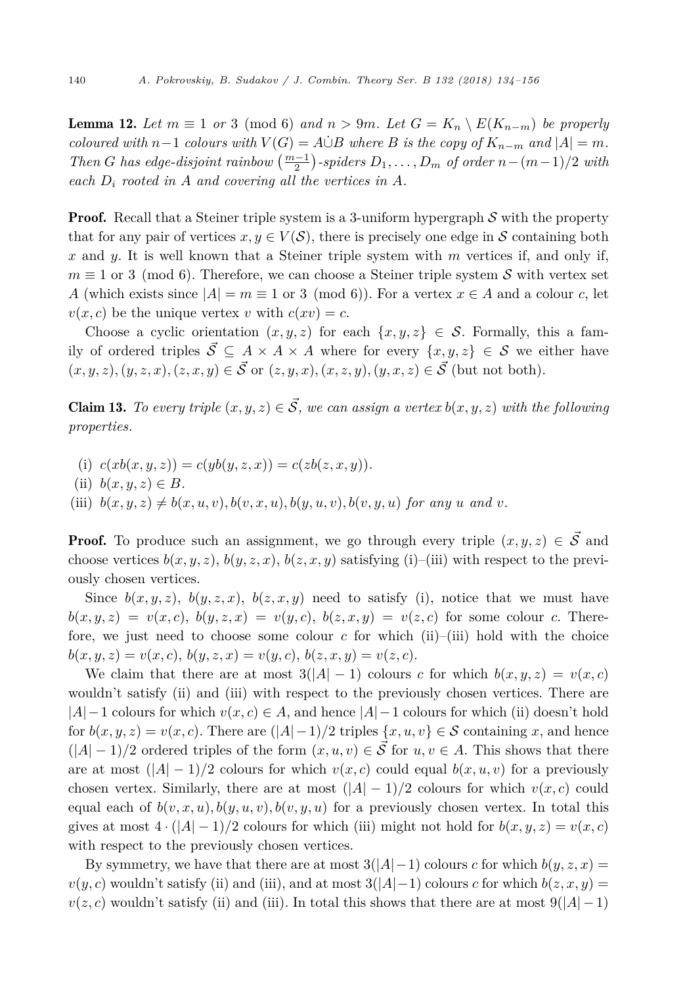<span id="page-6-0"></span>**Lemma 12.** Let  $m \equiv 1$  or 3 (mod 6) and  $n > 9m$ . Let  $G = K_n \setminus E(K_{n-m})$  be properly coloured with  $n-1$  colours with  $V(G) = A \dot{\cup} B$  where B is the copy of  $K_{n-m}$  and  $|A| = m$ . *Then G has edge-disjoint rainbow*  $\left(\frac{m-1}{2}\right)$ *-spiders*  $D_1, \ldots, D_m$  *of order*  $n - (m-1)/2$  *with each D<sup>i</sup> rooted in A and covering all the vertices in A.*

**Proof.** Recall that a Steiner triple system is a 3-uniform hypergraph  $S$  with the property that for any pair of vertices  $x, y \in V(S)$ , there is precisely one edge in S containing both *x* and *y*. It is well known that a Steiner triple system with *m* vertices if, and only if,  $m \equiv 1$  or 3 (mod 6). Therefore, we can choose a Steiner triple system S with vertex set *A* (which exists since  $|A| = m \equiv 1$  or 3 (mod 6)). For a vertex  $x \in A$  and a colour *c*, let  $v(x, c)$  be the unique vertex *v* with  $c(xv) = c$ .

Choose a cyclic orientation  $(x, y, z)$  for each  $\{x, y, z\} \in S$ . Formally, this a family of ordered triples  $\vec{S}$  ⊆ *A* × *A* × *A* where for every  $\{x, y, z\}$  ∈ *S* we either have  $(x, y, z), (y, z, x), (z, x, y) \in \mathcal{S}$  or  $(z, y, x), (x, z, y), (y, x, z) \in \mathcal{S}$  (but not both).

**Claim 13.** To every triple  $(x, y, z) \in \mathcal{S}$ , we can assign a vertex  $b(x, y, z)$  with the following *properties.*

- (i)  $c(xb(x,y,z)) = c(yb(y,z,x)) = c(zb(z,x,y)).$
- (ii)  $b(x, y, z) \in B$ .
- (iii)  $b(x, y, z) \neq b(x, u, v), b(v, x, u), b(y, u, v), b(v, y, u)$  for any u and v.

**Proof.** To produce such an assignment, we go through every triple  $(x, y, z) \in \mathcal{S}$  and choose vertices  $b(x, y, z)$ ,  $b(y, z, x)$ ,  $b(z, x, y)$  satisfying (i)–(iii) with respect to the previously chosen vertices.

Since  $b(x, y, z)$ ,  $b(y, z, x)$ ,  $b(z, x, y)$  need to satisfy (i), notice that we must have  $b(x,y,z) = v(x,c), b(y,z,x) = v(y,c), b(z,x,y) = v(z,c)$  for some colour c. Therefore, we just need to choose some colour  $c$  for which (ii)–(iii) hold with the choice  $b(x, y, z) = v(x, c), b(y, z, x) = v(y, c), b(z, x, y) = v(z, c).$ 

We claim that there are at most  $3(|A|-1)$  colours *c* for which  $b(x, y, z) = v(x, c)$ wouldn't satisfy (ii) and (iii) with respect to the previously chosen vertices. There are |*A*|−1 colours for which *v*(*x, c*) ∈ *A*, and hence |*A*|−1 colours for which (ii) doesn't hold for  $b(x, y, z) = v(x, c)$ . There are  $(|A| - 1)/2$  triples  $\{x, u, v\} \in S$  containing x, and hence  $(|A| - 1)/2$  ordered triples of the form  $(x, u, v) \in \mathcal{S}$  for  $u, v \in A$ . This shows that there are at most  $(|A| - 1)/2$  colours for which  $v(x, c)$  could equal  $b(x, u, v)$  for a previously chosen vertex. Similarly, there are at most  $(|A| - 1)/2$  colours for which  $v(x, c)$  could equal each of  $b(v, x, u), b(y, u, v), b(v, y, u)$  for a previously chosen vertex. In total this gives at most  $4 \cdot (|A| - 1)/2$  colours for which (iii) might not hold for  $b(x, y, z) = v(x, c)$ with respect to the previously chosen vertices.

By symmetry, we have that there are at most  $3(|A|-1)$  colours *c* for which  $b(y, z, x) =$  $v(y, c)$  wouldn't satisfy (ii) and (iii), and at most  $3(|A|-1)$  colours *c* for which  $b(z, x, y) =$  $v(z, c)$  wouldn't satisfy (ii) and (iii). In total this shows that there are at most  $9(|A|-1)$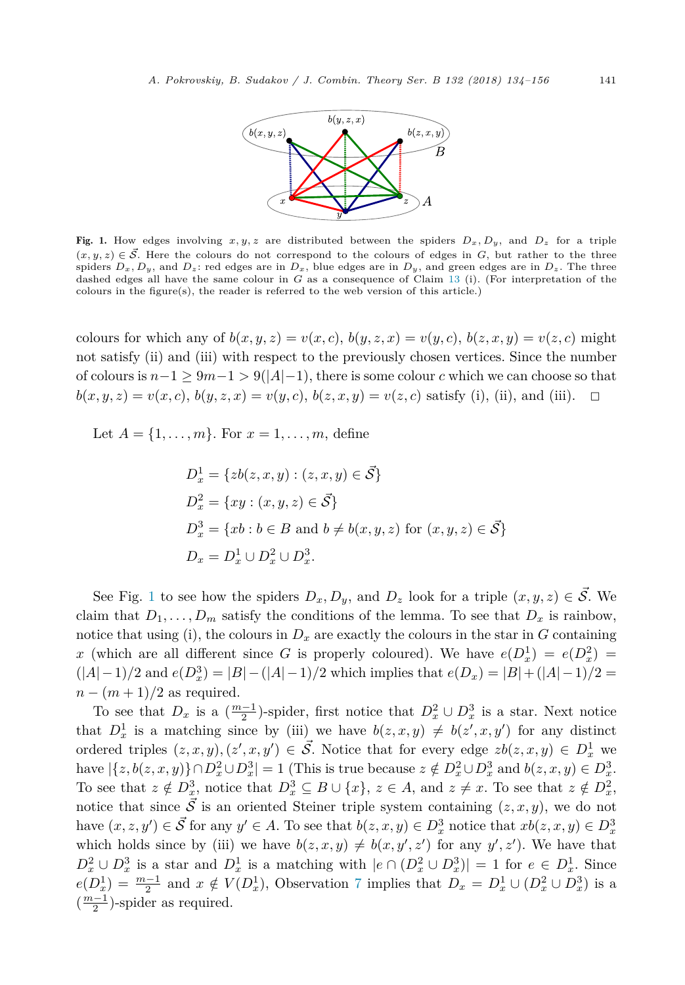

Fig. 1. How edges involving  $x, y, z$  are distributed between the spiders  $D_x, D_y$ , and  $D_z$  for a triple  $(x, y, z) \in \mathcal{S}$ . Here the colours do not correspond to the colours of edges in *G*, but rather to the three spiders  $D_x$ ,  $D_y$ , and  $D_z$ : red edges are in  $D_x$ , blue edges are in  $D_y$ , and green edges are in  $D_z$ . The three dashed edges all have the same colour in *G* as a consequence of Claim [13](#page-6-0) (i). (For interpretation of the colours in the figure(s), the reader is referred to the web version of this article.)

colours for which any of  $b(x, y, z) = v(x, c)$ ,  $b(y, z, x) = v(y, c)$ ,  $b(z, x, y) = v(z, c)$  might not satisfy (ii) and (iii) with respect to the previously chosen vertices. Since the number of colours is  $n-1 \geq 9m-1 > 9(|A|-1)$ , there is some colour *c* which we can choose so that  $b(x, y, z) = v(x, c), b(y, z, x) = v(y, c), b(z, x, y) = v(z, c)$  satisfy (i), (ii), and (iii).  $\square$ 

Let  $A = \{1, ..., m\}$ . For  $x = 1, ..., m$ , define

$$
D_x^1 = \{ zb(z, x, y) : (z, x, y) \in \vec{S} \}
$$
  
\n
$$
D_x^2 = \{ xy : (x, y, z) \in \vec{S} \}
$$
  
\n
$$
D_x^3 = \{ xb : b \in B \text{ and } b \neq b(x, y, z) \text{ for } (x, y, z) \in \vec{S} \}
$$
  
\n
$$
D_x = D_x^1 \cup D_x^2 \cup D_x^3.
$$

See Fig. 1 to see how the spiders  $D_x, D_y$ , and  $D_z$  look for a triple  $(x, y, z) \in \mathcal{S}$ . We claim that  $D_1, \ldots, D_m$  satisfy the conditions of the lemma. To see that  $D_x$  is rainbow, notice that using (i), the colours in  $D_x$  are exactly the colours in the star in *G* containing *x* (which are all different since *G* is properly coloured). We have  $e(D_x^1) = e(D_x^2)$  $(|A| - 1)/2$  and  $e(D_x^3) = |B| - (|A| - 1)/2$  which implies that  $e(D_x) = |B| + (|A| - 1)/2$  =  $n - (m + 1)/2$  as required.

To see that  $D_x$  is a  $(\frac{m-1}{2})$ -spider, first notice that  $D_x^2 \cup D_x^3$  is a star. Next notice that  $D_x^1$  is a matching since by (iii) we have  $b(z, x, y) \neq b(z', x, y')$  for any distinct ordered triples  $(z, x, y), (z', x, y') \in \overrightarrow{S}$ . Notice that for every edge  $zb(z, x, y) \in D_x^1$  we have  $|\{z, b(z, x, y)\} \cap D_x^2 \cup D_x^3| = 1$  (This is true because  $z \notin D_x^2 \cup D_x^3$  and  $b(z, x, y) \in D_x^3$ . To see that  $z \notin D_x^3$ , notice that  $D_x^3 \subseteq B \cup \{x\}$ ,  $z \in A$ , and  $z \neq x$ . To see that  $z \notin D_x^2$ , notice that since  $\vec{S}$  is an oriented Steiner triple system containing  $(z, x, y)$ , we do not have  $(x, z, y') \in \mathcal{S}$  for any  $y' \in A$ . To see that  $b(z, x, y) \in D_x^3$  notice that  $xb(z, x, y) \in D_x^3$ which holds since by (iii) we have  $b(z, x, y) \neq b(x, y', z')$  for any  $y', z'$ ). We have that *D*<sub>2</sub><sup>2</sup> ∪ *D*<sub>2</sub><sup>3</sup> is a star and *D*<sub>1</sub><sup>1</sup> is a matching with  $|e \cap (D_x^2 \cup D_x^3)| = 1$  for  $e \in D_x^1$ . Since  $e(D_x^1) = \frac{m-1}{2}$  and  $x \notin V(D_x^1)$ , Observation [7](#page-3-0) implies that  $D_x = D_x^1 \cup (D_x^2 \cup D_x^3)$  is a  $\left(\frac{m-1}{2}\right)$ -spider as required.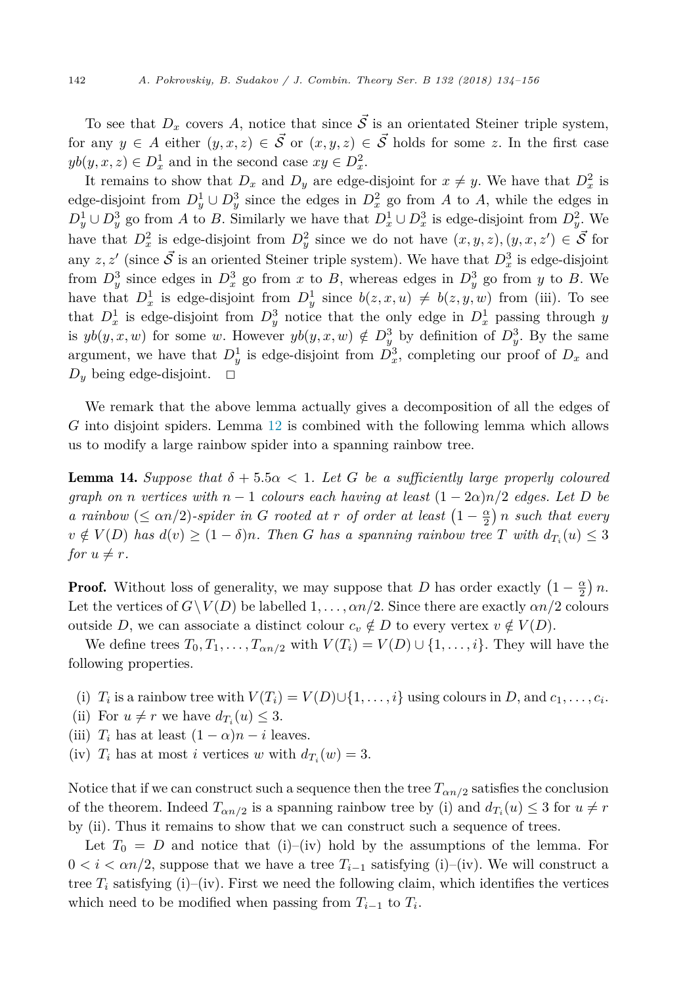<span id="page-8-0"></span>To see that  $D_x$  covers A, notice that since  $\vec{S}$  is an orientated Steiner triple system, for any  $y \in A$  either  $(y, x, z) \in \mathcal{S}$  or  $(x, y, z) \in \mathcal{S}$  holds for some *z*. In the first case  $yb(y, x, z) \in D_x^1$  and in the second case  $xy \in D_x^2$ .

It remains to show that  $D_x$  and  $D_y$  are edge-disjoint for  $x \neq y$ . We have that  $D_x^2$  is edge-disjoint from  $D_y^1 \cup D_y^3$  since the edges in  $D_x^2$  go from *A* to *A*, while the edges in  $D_y^1 \cup D_y^3$  go from *A* to *B*. Similarly we have that  $D_x^1 \cup D_x^3$  is edge-disjoint from  $D_y^2$ . We have that  $D_x^2$  is edge-disjoint from  $D_y^2$  since we do not have  $(x, y, z), (y, x, z') \in \mathcal{S}$  for any  $z, z'$  (since  $\vec{S}$  is an oriented Steiner triple system). We have that  $D_x^3$  is edge-disjoint from  $D_y^3$  since edges in  $D_x^3$  go from *x* to *B*, whereas edges in  $D_y^3$  go from *y* to *B*. We have that  $D_x^1$  is edge-disjoint from  $D_y^1$  since  $b(z, x, u) \neq b(z, y, w)$  from (iii). To see that  $D_x^1$  is edge-disjoint from  $D_y^3$  notice that the only edge in  $D_x^1$  passing through *y* is  $yb(y, x, w)$  for some *w*. However  $yb(y, x, w) \notin D_y^3$  by definition of  $D_y^3$ . By the same argument, we have that  $D_y^1$  is edge-disjoint from  $D_x^3$ , completing our proof of  $D_x$  and  $D_y$  being edge-disjoint.  $\Box$ 

We remark that the above lemma actually gives a decomposition of all the edges of *G* into disjoint spiders. Lemma [12](#page-6-0) is combined with the following lemma which allows us to modify a large rainbow spider into a spanning rainbow tree.

**Lemma 14.** *Suppose that*  $\delta + 5.5\alpha < 1$ *. Let G be a sufficiently large properly coloured graph on n vertices with*  $n - 1$  *colours each having at least*  $(1 - 2a)n/2$  *edges. Let D be a rainbow* ( $\leq \alpha n/2$ )*-spider in G rooted at r of order at least*  $\left(1 - \frac{\alpha}{2}\right)n$  *such that every*  $v \notin V(D)$  has  $d(v) \geq (1 - \delta)n$ . Then G has a spanning rainbow tree T with  $d_{T_i}(u) \leq 3$ for  $u \neq r$ .

**Proof.** Without loss of generality, we may suppose that *D* has order exactly  $\left(1 - \frac{\alpha}{2}\right)n$ . Let the vertices of  $G\setminus V(D)$  be labelled  $1,\ldots,\alpha n/2$ . Since there are exactly  $\alpha n/2$  colours outside *D*, we can associate a distinct colour  $c_v \notin D$  to every vertex  $v \notin V(D)$ .

We define trees  $T_0, T_1, \ldots, T_{\alpha n/2}$  with  $V(T_i) = V(D) \cup \{1, \ldots, i\}$ . They will have the following properties.

- (i)  $T_i$  is a rainbow tree with  $V(T_i) = V(D) \cup \{1, \ldots, i\}$  using colours in *D*, and  $c_1, \ldots, c_i$ .
- (ii) For  $u \neq r$  we have  $d_{T_i}(u) \leq 3$ .
- (iii)  $T_i$  has at least  $(1 \alpha)n i$  leaves.
- (iv)  $T_i$  has at most *i* vertices *w* with  $d_{T_i}(w) = 3$ .

Notice that if we can construct such a sequence then the tree  $T_{\alpha n/2}$  satisfies the conclusion of the theorem. Indeed  $T_{\alpha n/2}$  is a spanning rainbow tree by (i) and  $d_{T_i}(u) \leq 3$  for  $u \neq r$ by (ii). Thus it remains to show that we can construct such a sequence of trees.

Let  $T_0 = D$  and notice that (i)–(iv) hold by the assumptions of the lemma. For  $0 < i < \alpha n/2$ , suppose that we have a tree  $T_{i-1}$  satisfying (i)–(iv). We will construct a tree  $T_i$  satisfying (i)–(iv). First we need the following claim, which identifies the vertices which need to be modified when passing from  $T_{i-1}$  to  $T_i$ .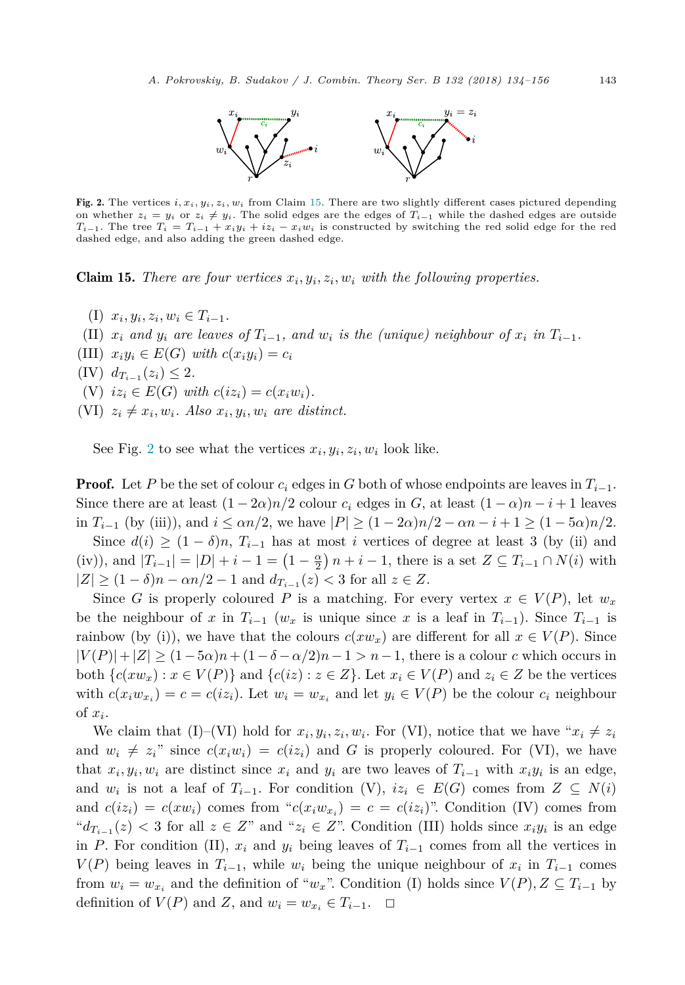

<span id="page-9-0"></span>Fig. 2. The vertices  $i, x_i, y_i, z_i, w_i$  from Claim 15. There are two slightly different cases pictured depending on whether  $z_i = y_i$  or  $z_i \neq y_i$ . The solid edges are the edges of  $T_{i-1}$  while the dashed edges are outside  $T_{i-1}$ . The tree  $T_i = T_{i-1} + x_i y_i + iz_i - x_i w_i$  is constructed by switching the red solid edge for the red dashed edge, and also adding the green dashed edge.

**Claim 15.** There are four vertices  $x_i, y_i, z_i, w_i$  with the following properties.

- $(T)$   $x_i, y_i, z_i, w_i \in T_{i-1}$ .
- (II)  $x_i$  and  $y_i$  are leaves of  $T_{i-1}$ , and  $w_i$  is the (unique) neighbour of  $x_i$  in  $T_{i-1}$ .
- (III)  $x_i y_i \in E(G)$  *with*  $c(x_i y_i) = c_i$
- $(V)$   $d_{T_{i-1}}(z_i) \leq 2.$
- (V)  $iz_i \in E(G)$  with  $c(iz_i) = c(x_iw_i)$ .
- $(VI)$   $z_i \neq x_i, w_i$ . Also  $x_i, y_i, w_i$  are distinct.

See Fig. 2 to see what the vertices  $x_i, y_i, z_i, w_i$  look like.

**Proof.** Let P be the set of colour  $c_i$  edges in G both of whose endpoints are leaves in  $T_{i-1}$ . Since there are at least  $(1 - 2\alpha)n/2$  colour  $c_i$  edges in  $G$ , at least  $(1 - \alpha)n - i + 1$  leaves in  $T_{i-1}$  (by (iii)), and  $i \le \alpha n/2$ , we have  $|P| \ge (1 - 2\alpha)n/2 - \alpha n - i + 1 \ge (1 - 5\alpha)n/2$ .

Since  $d(i) \geq (1 - \delta)n$ ,  $T_{i-1}$  has at most *i* vertices of degree at least 3 (by (ii) and  $(iv)$ , and  $|T_{i-1}| = |D| + i - 1 = (1 - \frac{\alpha}{2})n + i - 1$ , there is a set  $Z \subseteq T_{i-1} \cap N(i)$  with  $|Z|$  ≥  $(1 - \delta)n - \alpha n/2 - 1$  and  $d_{T_{i-1}}(z) < 3$  for all  $z \in Z$ .

Since *G* is properly coloured *P* is a matching. For every vertex  $x \in V(P)$ , let  $w_x$ be the neighbour of *x* in  $T_{i-1}$  ( $w_x$  is unique since *x* is a leaf in  $T_{i-1}$ ). Since  $T_{i-1}$  is rainbow (by (i)), we have that the colours  $c(xw_x)$  are different for all  $x \in V(P)$ . Since  $|V(P)| + |Z| \ge (1 - 5\alpha)n + (1 - \delta - \alpha/2)n - 1 > n - 1$ , there is a colour *c* which occurs in both  ${c(xw_x) : x \in V(P)}$  and  ${c(iz) : z \in Z}$ . Let  $x_i ∈ V(P)$  and  $z_i ∈ Z$  be the vertices with  $c(x_iw_{x_i}) = c = c(iz_i)$ . Let  $w_i = w_{x_i}$  and let  $y_i \in V(P)$  be the colour  $c_i$  neighbour of *xi*.

We claim that (I)–(VI) hold for  $x_i, y_i, z_i, w_i$ . For (VI), notice that we have " $x_i \neq z_i$ " and  $w_i \neq z_i$ " since  $c(x_iw_i) = c(iz_i)$  and *G* is properly coloured. For (VI), we have that  $x_i, y_i, w_i$  are distinct since  $x_i$  and  $y_i$  are two leaves of  $T_{i-1}$  with  $x_i y_i$  is an edge, and  $w_i$  is not a leaf of  $T_{i-1}$ . For condition (V),  $iz_i \in E(G)$  comes from  $Z \subseteq N(i)$ and  $c(iz_i) = c(xw_i)$  comes from " $c(x_iw_{x_i}) = c = c(iz_i)$ ". Condition (IV) comes from " $d_{T_{i-1}}(z)$  < 3 for all  $z \in Z$ " and " $z_i \in Z$ ". Condition (III) holds since  $x_i y_i$  is an edge in *P*. For condition (II),  $x_i$  and  $y_i$  being leaves of  $T_{i-1}$  comes from all the vertices in *V*(*P*) being leaves in  $T_{i-1}$ , while  $w_i$  being the unique neighbour of  $x_i$  in  $T_{i-1}$  comes from  $w_i = w_{x_i}$  and the definition of " $w_x$ ". Condition (I) holds since  $V(P), Z \subseteq T_{i-1}$  by definition of *V*(*P*) and *Z*, and  $w_i = w_{x_i}$  ∈  $T_{i-1}$ .  $\Box$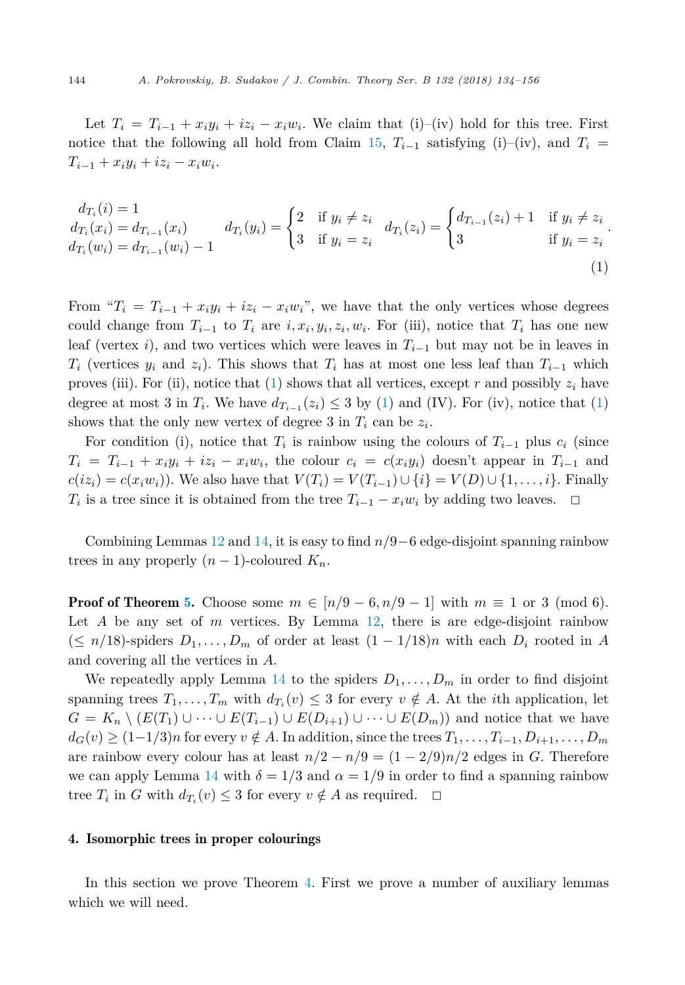<span id="page-10-0"></span>Let  $T_i = T_{i-1} + x_i y_i + iz_i - x_i w_i$ . We claim that (i)–(iv) hold for this tree. First notice that the following all hold from Claim [15,](#page-9-0)  $T_{i-1}$  satisfying (i)–(iv), and  $T_i =$  $T_{i-1} + x_i y_i + i z_i - x_i w_i$ .

$$
d_{T_i}(i) = 1
$$
  
\n
$$
d_{T_i}(x_i) = d_{T_{i-1}}(x_i)
$$
  
\n
$$
d_{T_i}(y_i) = \begin{cases} 2 & \text{if } y_i \neq z_i \\ 3 & \text{if } y_i = z_i \end{cases} d_{T_i}(z_i) = \begin{cases} d_{T_{i-1}}(z_i) + 1 & \text{if } y_i \neq z_i \\ 3 & \text{if } y_i = z_i \end{cases}
$$
  
\n(1)

From " $T_i = T_{i-1} + x_i y_i + iz_i - x_i w_i$ ", we have that the only vertices whose degrees could change from  $T_{i-1}$  to  $T_i$  are  $i, x_i, y_i, z_i, w_i$ . For (iii), notice that  $T_i$  has one new leaf (vertex *i*), and two vertices which were leaves in *T<sup>i</sup>*−<sup>1</sup> but may not be in leaves in *T*<sub>i</sub> (vertices *y*<sub>i</sub> and *z*<sub>i</sub>). This shows that *T*<sub>i</sub> has at most one less leaf than  $T_{i-1}$  which proves (iii). For (ii), notice that (1) shows that all vertices, except  $r$  and possibly  $z_i$  have degree at most 3 in  $T_i$ . We have  $d_{T_{i-1}}(z_i) \leq 3$  by (1) and (IV). For (iv), notice that (1) shows that the only new vertex of degree 3 in  $T_i$  can be  $z_i$ .

For condition (i), notice that  $T_i$  is rainbow using the colours of  $T_{i-1}$  plus  $c_i$  (since  $T_i = T_{i-1} + x_i y_i + iz_i - x_i w_i$ , the colour  $c_i = c(x_i y_i)$  doesn't appear in  $T_{i-1}$  and  $c(iz_i) = c(x_iw_i)$ ). We also have that  $V(T_i) = V(T_{i-1}) \cup \{i\} = V(D) \cup \{1, \ldots, i\}$ . Finally *T*<sup>*i*</sup> is a tree since it is obtained from the tree  $T_{i-1} - x_i w_i$  by adding two leaves.  $\Box$ 

Combining Lemmas [12](#page-6-0) and [14,](#page-8-0) it is easy to find *n/*9−6 edge-disjoint spanning rainbow trees in any properly  $(n-1)$ -coloured  $K_n$ .

**Proof of Theorem [5.](#page-3-0)** Choose some  $m \in [n/9 - 6, n/9 - 1]$  with  $m \equiv 1$  or 3 (mod 6). Let *A* be any set of *m* vertices. By Lemma [12,](#page-6-0) there is are edge-disjoint rainbow  $(≤ n/18)$ -spiders  $D_1, \ldots, D_m$  of order at least  $(1 − 1/18)n$  with each  $D_i$  rooted in *A* and covering all the vertices in *A*.

We repeatedly apply Lemma [14](#page-8-0) to the spiders  $D_1, \ldots, D_m$  in order to find disjoint spanning trees  $T_1, \ldots, T_m$  with  $d_{T_i}(v) \leq 3$  for every  $v \notin A$ . At the *i*th application, let *G* =  $K_n \setminus (E(T_1) \cup \cdots \cup E(T_{i-1}) \cup E(D_{i+1}) \cup \cdots \cup E(D_m))$  and notice that we have  $d_G(v) \ge (1-1/3)n$  for every  $v \notin A$ . In addition, since the trees  $T_1, \ldots, T_{i-1}, D_{i+1}, \ldots, D_m$ are rainbow every colour has at least  $n/2 - n/9 = (1 - 2/9)n/2$  edges in *G*. Therefore we can apply Lemma [14](#page-8-0) with  $\delta = 1/3$  and  $\alpha = 1/9$  in order to find a spanning rainbow tree  $T_i$  in *G* with  $d_{T_i}(v) \leq 3$  for every  $v \notin A$  as required.  $\Box$ 

#### 4. Isomorphic trees in proper colourings

In this section we prove Theorem [4.](#page-2-0) First we prove a number of auxiliary lemmas which we will need.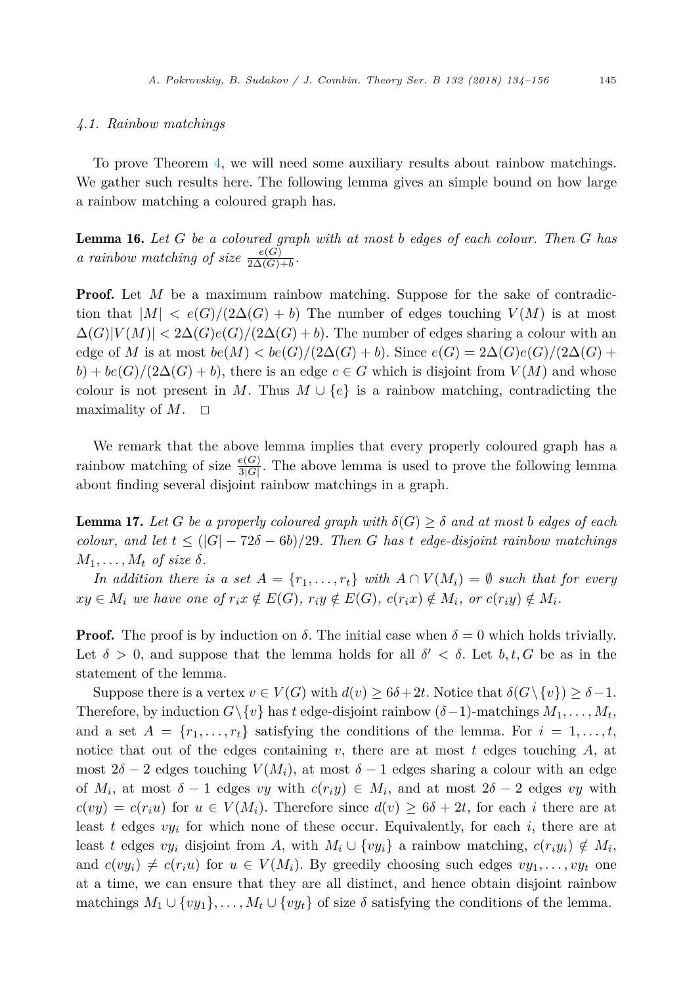#### <span id="page-11-0"></span>*4.1. Rainbow matchings*

To prove Theorem [4,](#page-2-0) we will need some auxiliary results about rainbow matchings. We gather such results here. The following lemma gives an simple bound on how large a rainbow matching a coloured graph has.

Lemma 16. *Let G be a coloured graph with at most b edges of each colour. Then G has a rainbow matching of size*  $\frac{e(G)}{2\Delta(G)+b}$ .

**Proof.** Let *M* be a maximum rainbow matching. Suppose for the sake of contradiction that  $|M| < e(G)/(2\Delta(G) + b)$  The number of edges touching  $V(M)$  is at most  $\Delta(G)|V(M)| < 2\Delta(G)e(G)/(2\Delta(G)+b)$ . The number of edges sharing a colour with an edge of *M* is at most  $be(M) < be(G)/(2\Delta(G) + b)$ . Since  $e(G) = 2\Delta(G)e(G)/(2\Delta(G) + b)$  $b$ ) +  $be(G)/(2\Delta(G) + b)$ , there is an edge  $e \in G$  which is disjoint from  $V(M)$  and whose colour is not present in *M*. Thus  $M \cup \{e\}$  is a rainbow matching, contradicting the maximality of  $M$ .  $\Box$ 

We remark that the above lemma implies that every properly coloured graph has a rainbow matching of size  $\frac{e(G)}{3|G|}$ . The above lemma is used to prove the following lemma about finding several disjoint rainbow matchings in a graph.

**Lemma 17.** Let *G* be a properly coloured graph with  $\delta(G) \geq \delta$  and at most b edges of each  $\alpha$  *colour,* and let  $t \leq (|G| - 72\delta - 6b)/29$ . Then *G* has *t* edge-disjoint rainbow matchings  $M_1, \ldots, M_t$  *of size*  $\delta$ *.* 

In addition there is a set  $A = \{r_1, \ldots, r_t\}$  with  $A \cap V(M_i) = \emptyset$  such that for every  $xy \in M_i$  we have one of  $r_i x \notin E(G)$ ,  $r_i y \notin E(G)$ ,  $c(r_i x) \notin M_i$ , or  $c(r_i y) \notin M_i$ .

**Proof.** The proof is by induction on  $\delta$ . The initial case when  $\delta = 0$  which holds trivially. Let  $\delta > 0$ , and suppose that the lemma holds for all  $\delta' < \delta$ . Let  $b, t, G$  be as in the statement of the lemma.

Suppose there is a vertex  $v \in V(G)$  with  $d(v) \geq 6\delta + 2t$ . Notice that  $\delta(G \setminus \{v\}) \geq \delta - 1$ . Therefore, by induction  $G\backslash \{v\}$  has *t* edge-disjoint rainbow  $(\delta - 1)$ -matchings  $M_1, \ldots, M_t$ , and a set  $A = \{r_1, \ldots, r_t\}$  satisfying the conditions of the lemma. For  $i = 1, \ldots, t$ , notice that out of the edges containing *v*, there are at most *t* edges touching *A*, at most  $2\delta - 2$  edges touching  $V(M_i)$ , at most  $\delta - 1$  edges sharing a colour with an edge of  $M_i$ , at most  $\delta - 1$  edges *vy* with  $c(r_i y) \in M_i$ , and at most  $2\delta - 2$  edges *vy* with  $c(vy) = c(r_iu)$  for  $u \in V(M_i)$ . Therefore since  $d(v) \geq 6\delta + 2t$ , for each *i* there are at least *t* edges *vy<sup>i</sup>* for which none of these occur. Equivalently, for each *i*, there are at least *t* edges *vy*<sub>*i*</sub> disjoint from *A*, with  $M_i \cup \{vy_i\}$  a rainbow matching,  $c(r_iy_i) \notin M_i$ , and  $c(vy_i) \neq c(r_iu)$  for  $u \in V(M_i)$ . By greedily choosing such edges  $vy_1, \ldots, vy_t$  one at a time, we can ensure that they are all distinct, and hence obtain disjoint rainbow matchings  $M_1 \cup \{vy_1\}, \ldots, M_t \cup \{vy_t\}$  of size  $\delta$  satisfying the conditions of the lemma.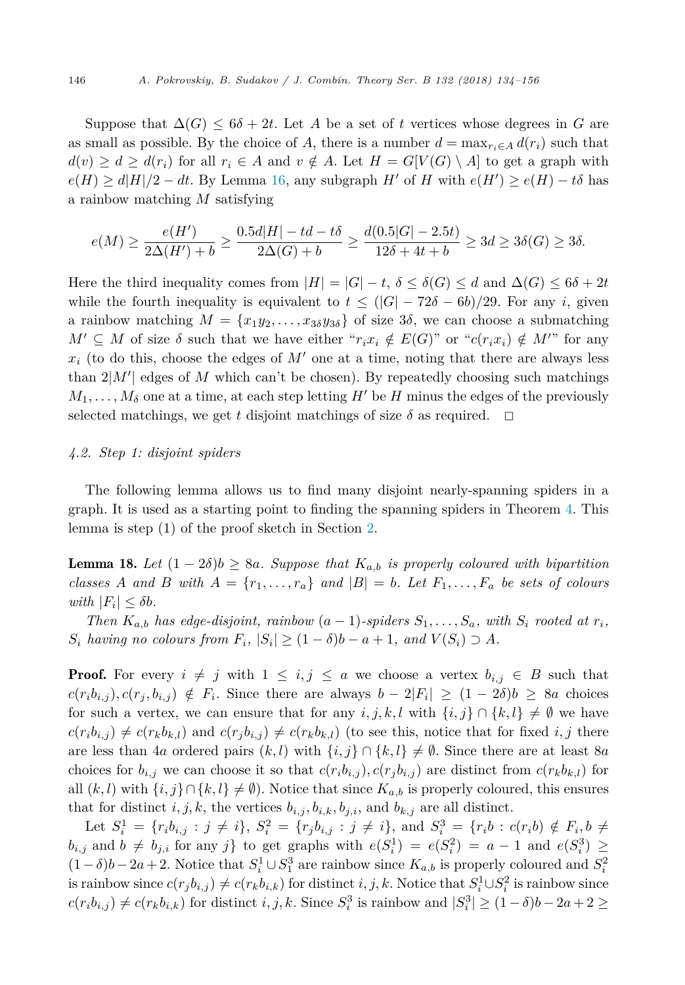<span id="page-12-0"></span>Suppose that  $\Delta(G) \leq 6\delta + 2t$ . Let A be a set of t vertices whose degrees in G are as small as possible. By the choice of *A*, there is a number  $d = \max_{r_i \in A} d(r_i)$  such that *d*(*v*) ≥ *d* ≥ *d*(*r*<sub>*i*</sub>) for all *r*<sub>*i*</sub> ∈ *A* and *v* ∉ *A*. Let *H* = *G*[*V*(*G*) \ *A*] to get a graph with  $e(H) \ge d|H|/2 - dt$ . By Lemma [16,](#page-11-0) any subgraph *H*<sup> $\prime$ </sup> of *H* with  $e(H') \ge e(H) - t\delta$  has a rainbow matching *M* satisfying

$$
e(M) \ge \frac{e(H')}{2\Delta(H') + b} \ge \frac{0.5d|H| - td - t\delta}{2\Delta(G) + b} \ge \frac{d(0.5|G| - 2.5t)}{12\delta + 4t + b} \ge 3d \ge 3\delta(G) \ge 3\delta.
$$

Here the third inequality comes from  $|H| = |G| - t$ ,  $\delta \leq \delta(G) \leq d$  and  $\Delta(G) \leq 6\delta + 2t$ while the fourth inequality is equivalent to  $t \leq (|G| - 72\delta - 6b)/29$ . For any *i*, given a rainbow matching  $M = \{x_1y_2, \ldots, x_{3\delta}y_{3\delta}\}\$  of size 3 $\delta$ , we can choose a submatching  $M' \subseteq M$  of size  $\delta$  such that we have either " $r_i x_i \notin E(G)$ " or " $c(r_i x_i) \notin M'$ " for any  $x_i$  (to do this, choose the edges of  $M'$  one at a time, noting that there are always less than  $2|M'|$  edges of *M* which can't be chosen). By repeatedly choosing such matchings  $M_1, \ldots, M_\delta$  one at a time, at each step letting  $H'$  be  $H$  minus the edges of the previously selected matchings, we get *t* disjoint matchings of size  $\delta$  as required.  $\Box$ 

# *4.2. Step 1: disjoint spiders*

The following lemma allows us to find many disjoint nearly-spanning spiders in a graph. It is used as a starting point to finding the spanning spiders in Theorem [4.](#page-2-0) This lemma is step (1) of the proof sketch in Section [2.](#page-3-0)

**Lemma 18.** Let  $(1 - 2\delta)b \ge 8a$ . Suppose that  $K_{a,b}$  is properly coloured with bipartition classes A and B with  $A = \{r_1, \ldots, r_a\}$  and  $|B| = b$ . Let  $F_1, \ldots, F_a$  be sets of colours  $with$   $|F_i| \leq \delta b$ *.* 

Then  $K_{a,b}$  has edge-disjoint, rainbow  $(a-1)$ -spiders  $S_1, \ldots, S_a$ , with  $S_i$  rooted at  $r_i$ ,  $S_i$  *having no colours from*  $F_i$ ,  $|S_i| \geq (1 - \delta)b - a + 1$ , *and*  $V(S_i) \supset A$ .

**Proof.** For every  $i \neq j$  with  $1 \leq i, j \leq a$  we choose a vertex  $b_{i,j} \in B$  such that  $c(r_ib_{i,j}), c(r_j, b_{i,j}) \notin F_i$ . Since there are always  $b-2|F_i| \geq (1-2\delta)b \geq 8a$  choices for such a vertex, we can ensure that for any  $i, j, k, l$  with  $\{i, j\} \cap \{k, l\} \neq \emptyset$  we have  $c(r_i b_{i,j}) \neq c(r_k b_{k,l})$  and  $c(r_j b_{i,j}) \neq c(r_k b_{k,l})$  (to see this, notice that for fixed  $i, j$  there are less than 4*a* ordered pairs  $(k, l)$  with  $\{i, j\} \cap \{k, l\} \neq \emptyset$ . Since there are at least 8*a* choices for  $b_{i,j}$  we can choose it so that  $c(r_i b_{i,j})$ ,  $c(r_j b_{i,j})$  are distinct from  $c(r_k b_{k,l})$  for all  $(k, l)$  with  $\{i, j\} \cap \{k, l\} \neq \emptyset$ . Notice that since  $K_{a,b}$  is properly coloured, this ensures that for distinct *i, j, k,* the vertices  $b_{i,j}$ ,  $b_{i,k}$ ,  $b_{j,i}$ , and  $b_{k,j}$  are all distinct.

Let  $S_i^1 = \{r_i b_{i,j} : j \neq i\}, S_i^2 = \{r_j b_{i,j} : j \neq i\}, \text{ and } S_i^3 = \{r_i b : c(r_i b) \notin F_i, b \neq i\}$  $b_{i,j}$  and  $b \neq b_{j,i}$  for any *j*} to get graphs with  $e(S_i^1) = e(S_i^2) = a - 1$  and  $e(S_i^3) \ge$  $(1 − δ) b − 2a + 2$ . Notice that  $S_i^1 ∪ S_1^3$  are rainbow since  $K_{a,b}$  is properly coloured and  $S_i^2$ is rainbow since  $c(r_j b_{i,j}) \neq c(r_k b_{i,k})$  for distinct  $i, j, k$ . Notice that  $S_i^1 \cup S_i^2$  is rainbow since  $c(r_i b_{i,j}) \neq c(r_k b_{i,k})$  for distinct  $i, j, k$ . Since  $S_i^3$  is rainbow and  $|S_i^3| \geq (1 - \delta)b - 2a + 2 \geq$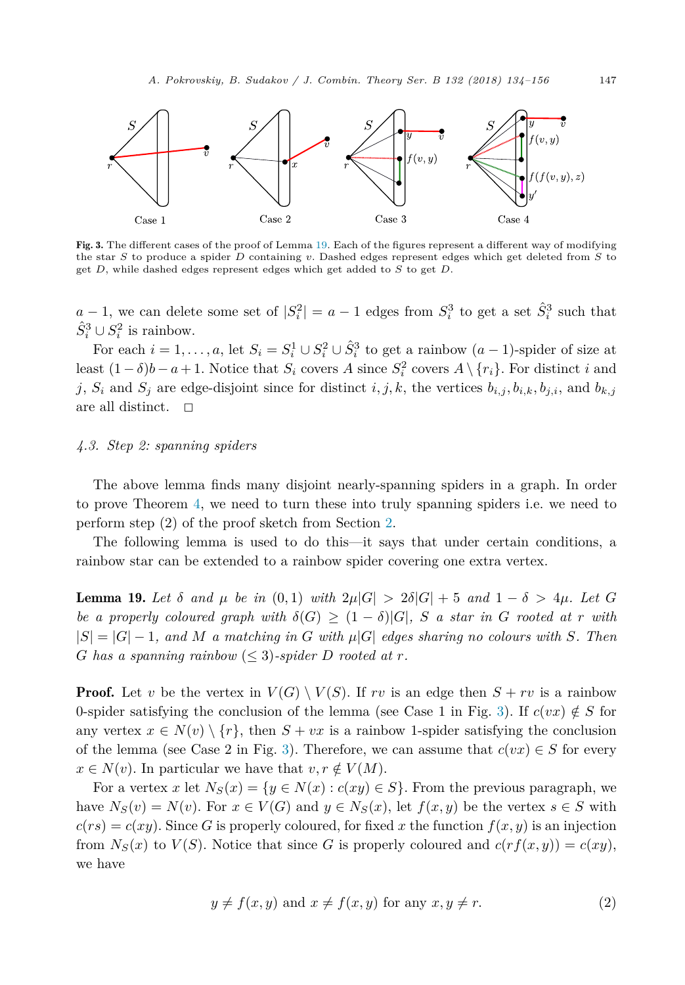<span id="page-13-0"></span>

Fig. 3. The different cases of the proof of Lemma 19. Each of the figures represent a different way of modifying the star *S* to produce a spider *D* containing *v*. Dashed edges represent edges which get deleted from *S* to get *D*, while dashed edges represent edges which get added to *S* to get *D*.

 $a-1$ , we can delete some set of  $|S_i^2| = a-1$  edges from  $S_i^3$  to get a set  $\hat{S}_i^3$  such that  $\hat{S}_i^3 \cup S_i^2$  is rainbow.

For each  $i = 1, ..., a$ , let  $S_i = S_i^1 \cup S_i^2 \cup \hat{S}_i^3$  to get a rainbow  $(a - 1)$ -spider of size at least  $(1 - \delta)b - a + 1$ . Notice that  $S_i$  covers  $A$  since  $S_i^2$  covers  $A \setminus \{r_i\}$ . For distinct *i* and *j*,  $S_i$  and  $S_j$  are edge-disjoint since for distinct *i, j, k,* the vertices  $b_{i,j}, b_{i,k}, b_{j,i}$ , and  $b_{k,j}$ are all distinct.  $\Box$ 

# *4.3. Step 2: spanning spiders*

The above lemma finds many disjoint nearly-spanning spiders in a graph. In order to prove Theorem [4,](#page-2-0) we need to turn these into truly spanning spiders i.e. we need to perform step (2) of the proof sketch from Section [2.](#page-3-0)

The following lemma is used to do this—it says that under certain conditions, a rainbow star can be extended to a rainbow spider covering one extra vertex.

**Lemma 19.** Let δ and  $\mu$  be in (0,1) with  $2\mu|G| > 2\delta|G| + 5$  and  $1 - \delta > 4\mu$ . Let G *be a* properly coloured graph with  $\delta(G) \geq (1 - \delta)|G|$ , *S a* star in *G* rooted at *r* with  $|S| = |G| - 1$ , and M a matching in G with  $\mu|G|$  edges sharing no colours with S. Then *G* has a spanning rainbow  $\leq$  3)-spider *D* rooted at *r*.

**Proof.** Let *v* be the vertex in  $V(G) \setminus V(S)$ . If *rv* is an edge then  $S + rv$  is a rainbow 0-spider satisfying the conclusion of the lemma (see Case 1 in Fig. 3). If  $c(vx) \notin S$  for any vertex  $x \in N(v) \setminus \{r\}$ , then  $S + vx$  is a rainbow 1-spider satisfying the conclusion of the lemma (see Case 2 in Fig. 3). Therefore, we can assume that  $c(vx) \in S$  for every  $x \in N(v)$ . In particular we have that  $v, r \notin V(M)$ .

For a vertex *x* let  $N_S(x) = \{y \in N(x) : c(xy) \in S\}$ . From the previous paragraph, we have  $N_S(v) = N(v)$ . For  $x \in V(G)$  and  $y \in N_S(x)$ , let  $f(x, y)$  be the vertex  $s \in S$  with  $c(rs) = c(xy)$ . Since *G* is properly coloured, for fixed *x* the function  $f(x, y)$  is an injection from  $N_S(x)$  to  $V(S)$ . Notice that since G is properly coloured and  $c(rf(x,y)) = c(xy)$ , we have

$$
y \neq f(x, y) \text{ and } x \neq f(x, y) \text{ for any } x, y \neq r. \tag{2}
$$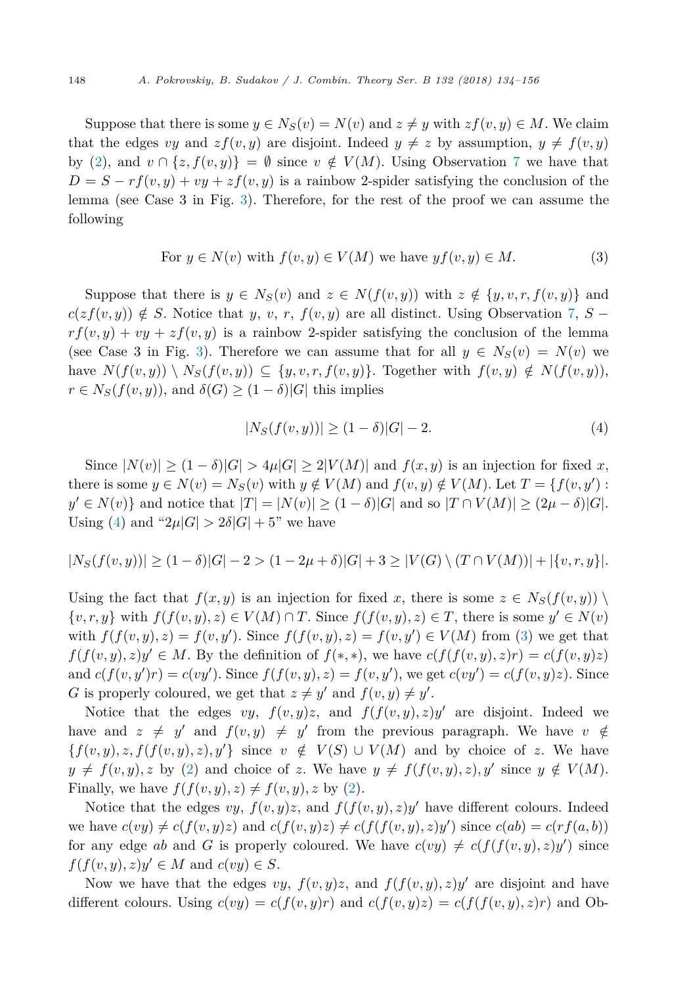Suppose that there is some  $y \in N_S(v) = N(v)$  and  $z \neq y$  with  $zf(v, y) \in M$ . We claim that the edges *vy* and  $zf(v, y)$  are disjoint. Indeed  $y \neq z$  by assumption,  $y \neq f(v, y)$ by [\(2\)](#page-13-0), and  $v \cap \{z, f(v, y)\} = \emptyset$  since  $v \notin V(M)$ . Using Observation [7](#page-3-0) we have that  $D = S - rf(v, y) + vy + zf(v, y)$  is a rainbow 2-spider satisfying the conclusion of the lemma (see Case 3 in Fig. [3\)](#page-13-0). Therefore, for the rest of the proof we can assume the following

For 
$$
y \in N(v)
$$
 with  $f(v, y) \in V(M)$  we have  $yf(v, y) \in M$ . (3)

Suppose that there is  $y \in N_S(v)$  and  $z \in N(f(v, y))$  with  $z \notin \{y, v, r, f(v, y)\}\)$  and  $c(zf(v, y)) \notin S$ . Notice that *y*, *v*, *r*,  $f(v, y)$  are all distinct. Using Observation [7,](#page-3-0) *S* −  $r f(v, y) + v y + z f(v, y)$  is a rainbow 2-spider satisfying the conclusion of the lemma (see Case 3 in Fig. [3\)](#page-13-0). Therefore we can assume that for all  $y \in N_S(v) = N(v)$  we have  $N(f(v, y)) \setminus N_S(f(v, y)) \subseteq \{y, v, r, f(v, y)\}.$  Together with  $f(v, y) \notin N(f(v, y)),$  $r \in N_S(f(v, y))$ , and  $\delta(G) \geq (1 - \delta)|G|$  this implies

$$
|N_S(f(v, y))| \ge (1 - \delta)|G| - 2.
$$
 (4)

Since  $|N(v)| \geq (1 - \delta)|G| > 4\mu|G| \geq 2|V(M)|$  and  $f(x, y)$  is an injection for fixed x, there is some  $y \in N(v) = N_S(v)$  with  $y \notin V(M)$  and  $f(v, y) \notin V(M)$ . Let  $T = \{f(v, y') :$  $y' \in N(v)$ } and notice that  $|T| = |N(v)| \ge (1 - \delta)|G|$  and so  $|T \cap V(M)| \ge (2\mu - \delta)|G|$ . Using (4) and " $2\mu|G| > 2\delta|G| + 5$ " we have

$$
|N_S(f(v,y))| \ge (1-\delta)|G|-2 > (1-2\mu+\delta)|G|+3 \ge |V(G) \setminus (T \cap V(M))|+|\{v,r,y\}|.
$$

Using the fact that  $f(x, y)$  is an injection for fixed x, there is some  $z \in N_S(f(v, y)) \setminus$  $\{v,r,y\}$  with  $f(f(v,y),z) \in V(M) \cap T$ . Since  $f(f(v,y),z) \in T$ , there is some  $y' \in N(v)$ with  $f(f(v, y), z) = f(v, y')$ . Since  $f(f(v, y), z) = f(v, y') \in V(M)$  from (3) we get that  $f(f(v, y), z)y' \in M$ . By the definition of  $f(*, *)$ , we have  $c(f(f(v, y), z)r) = c(f(v, y)z)$ and  $c(f(v, y')r) = c(vy')$ . Since  $f(f(v, y), z) = f(v, y')$ , we get  $c(vy') = c(f(v, y)z)$ . Since *G* is properly coloured, we get that  $z \neq y'$  and  $f(v, y) \neq y'$ .

Notice that the edges  $vy, f(v, y)z$ , and  $f(f(v, y), z)y'$  are disjoint. Indeed we have and  $z \neq y'$  and  $f(v, y) \neq y'$  from the previous paragraph. We have  $v \notin$  ${f(v, y), z, f(f(v, y), z), y'}$  since  $v \notin V(S) \cup V(M)$  and by choice of *z*. We have  $y \neq f(v, y), z$  by [\(2\)](#page-13-0) and choice of *z*. We have  $y \neq f(f(v, y), z), y'$  since  $y \notin V(M)$ . Finally, we have  $f(f(v, y), z) \neq f(v, y), z$  by [\(2\)](#page-13-0).

Notice that the edges *vy*,  $f(v, y)z$ , and  $f(f(v, y), z)y'$  have different colours. Indeed we have  $c(vy) \neq c(f(v, y)z)$  and  $c(f(v, y)z) \neq c(f(f(v, y), z)y')$  since  $c(ab) = c(rf(a, b))$ for any edge *ab* and *G* is properly coloured. We have  $c(vy) \neq c(f(f(v, y), z)y')$  since  $f(f(v, y), z)y' \in M$  and  $c(vy) \in S$ .

Now we have that the edges  $vy, f(v, y)z$ , and  $f(f(v, y), z)y'$  are disjoint and have different colours. Using  $c(vy) = c(f(v, y)r)$  and  $c(f(v, y)z) = c(f(f(v, y), z)r)$  and Ob-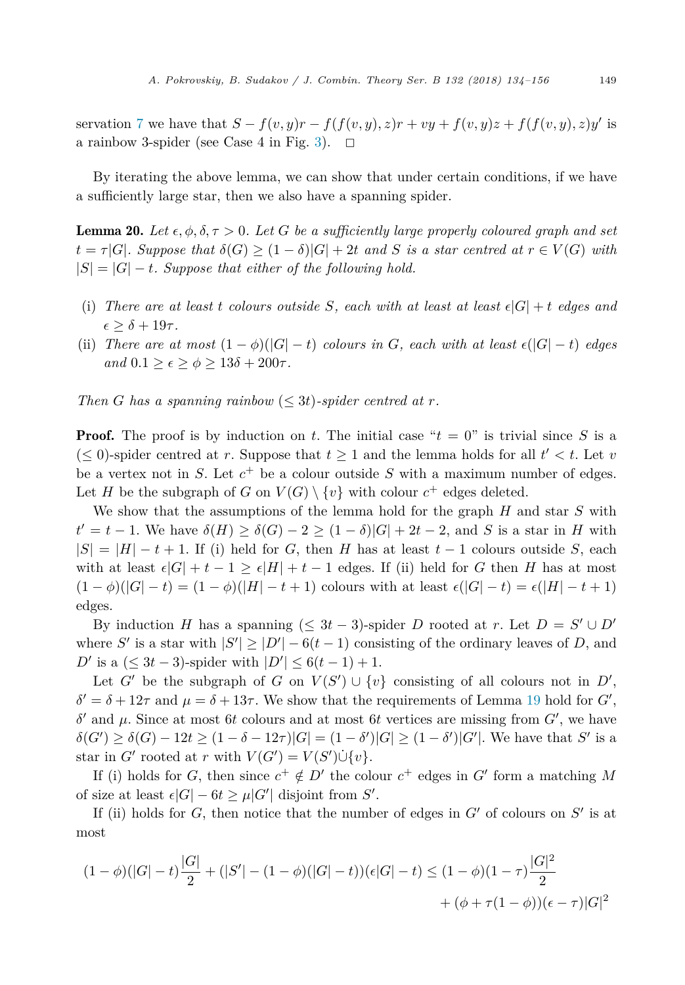<span id="page-15-0"></span>servation [7](#page-3-0) we have that  $S - f(v, y)r - f(f(v, y), z)r + vy + f(v, y)z + f(f(v, y), z)y'$  is a rainbow 3-spider (see Case 4 in Fig. [3\)](#page-13-0).  $\Box$ 

By iterating the above lemma, we can show that under certain conditions, if we have a sufficiently large star, then we also have a spanning spider.

**Lemma 20.** Let  $\epsilon, \phi, \delta, \tau > 0$ . Let G be a sufficiently large properly coloured graph and set  $t = \tau |G|$ . Suppose that  $\delta(G) \geq (1 - \delta)|G| + 2t$  and S is a star centred at  $r \in V(G)$  with  $|S| = |G| - t$ *. Suppose that either of the following hold.* 

- (i) There are at least t colours outside S, each with at least at least  $\epsilon |G| + t$  edges and  $\epsilon \geq \delta + 19\tau.$
- (ii) *There* are at most  $(1 \phi)(|G| t)$  colours in *G*, each with at least  $\epsilon(|G| t)$  edges  $\alpha$ *nd*  $0.1 \geq \epsilon \geq \phi \geq 13\delta + 200\tau$ .

*Then G* has a spanning rainbow  $(*3t*)$ -spider centred at r.

**Proof.** The proof is by induction on *t*. The initial case " $t = 0$ " is trivial since *S* is a  $(\leq 0)$ -spider centred at *r*. Suppose that  $t \geq 1$  and the lemma holds for all  $t' < t$ . Let *v* be a vertex not in *S*. Let *c*<sup>+</sup> be a colour outside *S* with a maximum number of edges. Let *H* be the subgraph of *G* on  $V(G) \setminus \{v\}$  with colour  $c^+$  edges deleted.

We show that the assumptions of the lemma hold for the graph *H* and star *S* with  $t' = t - 1$ . We have  $\delta(H) \ge \delta(G) - 2 \ge (1 - \delta)|G| + 2t - 2$ , and *S* is a star in *H* with  $|S| = |H| - t + 1$ . If (i) held for *G*, then *H* has at least  $t - 1$  colours outside *S*, each with at least  $\epsilon |G| + t - 1 \geq \epsilon |H| + t - 1$  edges. If (ii) held for *G* then *H* has at most  $(1 - \phi)(|G| - t) = (1 - \phi)(|H| - t + 1)$  colours with at least  $\epsilon(|G| - t) = \epsilon(|H| - t + 1)$ edges.

By induction *H* has a spanning  $(\leq 3t - 3)$ -spider *D* rooted at *r*. Let  $D = S' \cup D'$ where *S*<sup> $\prime$ </sup> is a star with  $|S'| \ge |D'| - 6(t - 1)$  consisting of the ordinary leaves of *D*, and  $D'$  is a ( $\leq 3t - 3$ )-spider with  $|D'| \leq 6(t - 1) + 1$ .

Let *G*<sup> $\prime$ </sup> be the subgraph of *G* on  $V(S') \cup \{v\}$  consisting of all colours not in *D*<sup> $\prime$ </sup>,  $\delta' = \delta + 12\tau$  and  $\mu = \delta + 13\tau$ . We show that the requirements of Lemma [19](#page-13-0) hold for *G*',  $δ'$  and *μ*. Since at most 6*t* colours and at most 6*t* vertices are missing from  $G'$ , we have  $\delta(G') \geq \delta(G) - 12t \geq (1 - \delta - 12\tau)|G| = (1 - \delta')|G| \geq (1 - \delta')|G'|$ . We have that *S'* is a star in *G*<sup> $\prime$ </sup> rooted at *r* with  $V(G') = V(S') \cup \{v\}.$ 

If (i) holds for *G*, then since  $c^+ \notin D'$  the colour  $c^+$  edges in *G*<sup> $\prime$ </sup> form a matching *M* of size at least  $\epsilon |G| - 6t \ge \mu |G'|$  disjoint from  $S'$ .

If (ii) holds for  $G$ , then notice that the number of edges in  $G'$  of colours on  $S'$  is at most

$$
(1 - \phi)(|G| - t)\frac{|G|}{2} + (|S'| - (1 - \phi)(|G| - t))\epsilon|G| - t) \leq (1 - \phi)(1 - \tau)\frac{|G|^2}{2} + (\phi + \tau(1 - \phi))(\epsilon - \tau)|G|^2
$$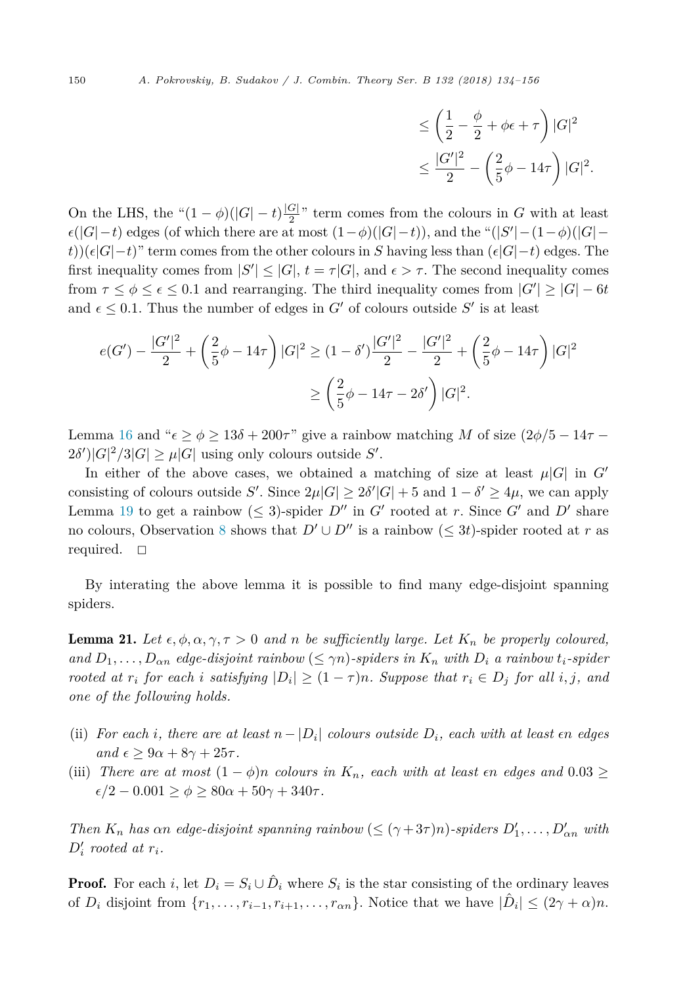$$
\leq \left(\frac{1}{2} - \frac{\phi}{2} + \phi \epsilon + \tau\right)|G|^2
$$
  

$$
\leq \frac{|G'|^2}{2} - \left(\frac{2}{5}\phi - 14\tau\right)|G|^2.
$$

On the LHS, the " $(1 - \phi)(|G| - t) \frac{|G|}{2}$ " term comes from the colours in *G* with at least  $\epsilon(|G| - t)$  edges (of which there are at most  $(1 - \phi)(|G| - t)$ ), and the " $(|S'| - (1 - \phi)(|G| - t)$ *t*))( $\epsilon |G|$ −*t*)" term comes from the other colours in *S* having less than ( $\epsilon |G|$ −*t*) edges. The first inequality comes from  $|S'| \leq |G|$ ,  $t = \tau |G|$ , and  $\epsilon > \tau$ . The second inequality comes from  $\tau \leq \phi \leq \epsilon \leq 0.1$  and rearranging. The third inequality comes from  $|G'| \geq |G| - 6t$ and  $\epsilon \leq 0.1$ . Thus the number of edges in  $G'$  of colours outside  $S'$  is at least

$$
e(G') - \frac{|G'|^2}{2} + \left(\frac{2}{5}\phi - 14\tau\right)|G|^2 \ge (1 - \delta')\frac{|G'|^2}{2} - \frac{|G'|^2}{2} + \left(\frac{2}{5}\phi - 14\tau\right)|G|^2
$$

$$
\ge \left(\frac{2}{5}\phi - 14\tau - 2\delta'\right)|G|^2.
$$

Lemma [16](#page-11-0) and " $\epsilon \ge \phi \ge 13\delta + 200\tau$ " give a rainbow matching *M* of size  $\left(2\phi/5 - 14\tau 2\delta'$ <sup> $\vert G \vert$ </sup><sup>2</sup>/3| $G \vert \geq \mu \vert G \vert$  using only colours outside *S'*.

In either of the above cases, we obtained a matching of size at least  $\mu|G|$  in  $G'$ consisting of colours outside *S'*. Since  $2\mu|G| \geq 2\delta'|G| + 5$  and  $1 - \delta' \geq 4\mu$ , we can apply Lemma [19](#page-13-0) to get a rainbow  $(\leq 3)$ -spider  $D''$  in *G*<sup> $\prime$ </sup> rooted at *r*. Since *G*<sup> $\prime$ </sup> and *D*<sup> $\prime$ </sup> share no colours, Observation [8](#page-3-0) shows that  $D' \cup D''$  is a rainbow  $(\leq 3t)$ -spider rooted at *r* as required.  $\square$ 

By interating the above lemma it is possible to find many edge-disjoint spanning spiders.

**Lemma 21.** Let  $\epsilon, \phi, \alpha, \gamma, \tau > 0$  and *n* be sufficiently large. Let  $K_n$  be properly coloured, and  $D_1, \ldots, D_{\alpha n}$  edge-disjoint rainbow  $(\leq \gamma n)$ -spiders in  $K_n$  with  $D_i$  a rainbow  $t_i$ -spider rooted at  $r_i$  for each i satisfying  $|D_i| \geq (1 - \tau)n$ . Suppose that  $r_i \in D_j$  for all i, j, and *one of the following holds.*

- (ii) For each i, there are at least  $n |D_i|$  colours outside  $D_i$ , each with at least  $\epsilon n$  edges  $and \epsilon \geq 9\alpha + 8\gamma + 25\tau.$
- (iii) There are at most  $(1 \phi)n$  colours in  $K_n$ , each with at least  $\epsilon n$  edges and  $0.03 \geq$  $\epsilon/2$  − 0*.*001 ≥  $\phi$  ≥ 80 $\alpha$  + 50 $\gamma$  + 340 $\tau$ *.*

*Then*  $K_n$  *has*  $\alpha n$  *edge-disjoint spanning rainbow* ( $\leq (\gamma + 3\tau)n$ )*-spiders*  $D'_1, \ldots, D'_{\alpha n}$  *with*  $D'_i$  *rooted* at  $r_i$ *.* 

**Proof.** For each *i*, let  $D_i = S_i \cup \hat{D}_i$  where  $S_i$  is the star consisting of the ordinary leaves of  $D_i$  disjoint from  $\{r_1, \ldots, r_{i-1}, r_{i+1}, \ldots, r_{\alpha n}\}$ . Notice that we have  $|\hat{D}_i| \leq (2\gamma + \alpha)n$ .

<span id="page-16-0"></span>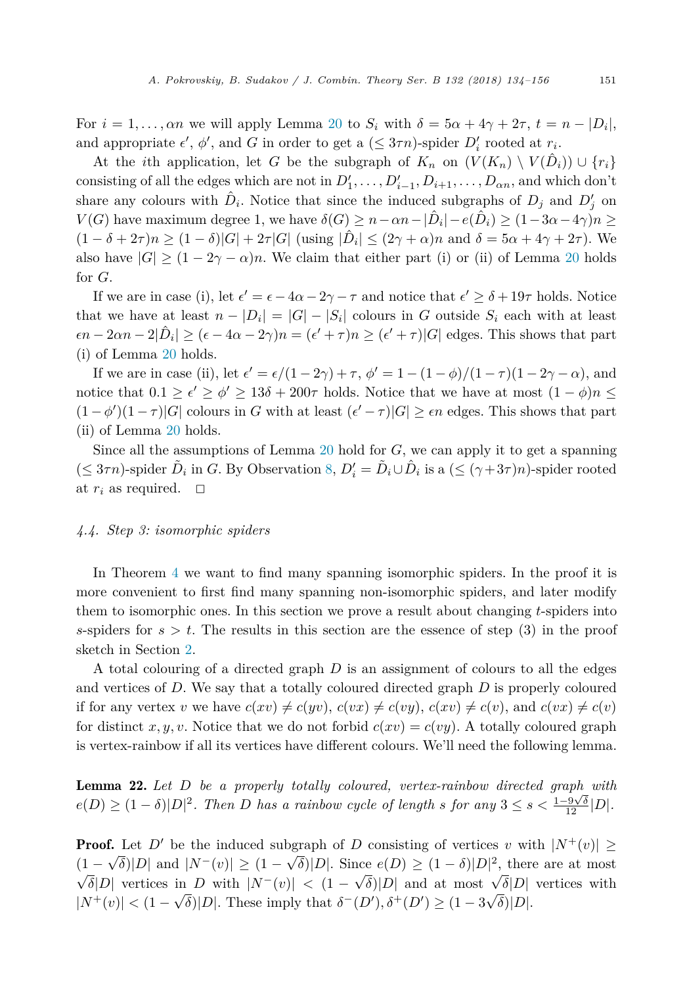<span id="page-17-0"></span>For  $i = 1, \ldots, \alpha n$  we will apply Lemma [20](#page-15-0) to  $S_i$  with  $\delta = 5\alpha + 4\gamma + 2\tau$ ,  $t = n - |D_i|$ , and appropriate  $\epsilon'$ ,  $\phi'$ , and *G* in order to get a ( $\leq$  3 $\tau n$ )-spider  $D'_{i}$  rooted at  $r_{i}$ .

At the *i*th application, let *G* be the subgraph of  $K_n$  on  $(V(K_n) \setminus V(\hat{D}_i)) \cup \{r_i\}$ consisting of all the edges which are not in  $D'_1, \ldots, D'_{i-1}, D_{i+1}, \ldots, D_{\alpha n}$ , and which don't share any colours with  $\hat{D}_i$ . Notice that since the induced subgraphs of  $D_j$  and  $D'_j$  on *V*(*G*) have maximum degree 1, we have  $\delta(G) \geq n - \alpha n - |\hat{D}_i| - e(\hat{D}_i) \geq (1 - 3\alpha - 4\gamma)n \geq$  $(1 - \delta + 2\tau)n \ge (1 - \delta)|G| + 2\tau|G|$  (using  $|\hat{D}_i| \le (2\gamma + \alpha)n$  and  $\delta = 5\alpha + 4\gamma + 2\tau)$ ). We also have  $|G| \ge (1 - 2\gamma - \alpha)n$ . We claim that either part (i) or (ii) of Lemma [20](#page-15-0) holds for *G*.

If we are in case (i), let  $\epsilon' = \epsilon - 4\alpha - 2\gamma - \tau$  and notice that  $\epsilon' \ge \delta + 19\tau$  holds. Notice that we have at least  $n - |D_i| = |G| - |S_i|$  colours in *G* outside  $S_i$  each with at least  $\epsilon n - 2\alpha n - 2|\hat{D}_i| \ge (\epsilon - 4\alpha - 2\gamma)n = (\epsilon' + \tau)n \ge (\epsilon' + \tau)|G|$  edges. This shows that part (i) of Lemma [20](#page-15-0) holds.

If we are in case (ii), let  $\epsilon' = \epsilon/(1 - 2\gamma) + \tau$ ,  $\phi' = 1 - (1 - \phi)/(1 - \tau)(1 - 2\gamma - \alpha)$ , and notice that  $0.1 \ge \epsilon' \ge \phi' \ge 13\delta + 200\tau$  holds. Notice that we have at most  $(1 - \phi)n \le$  $(1 - \phi')(1 - \tau)|G|$  colours in *G* with at least  $(\epsilon' - \tau)|G| \geq \epsilon n$  edges. This shows that part (ii) of Lemma [20](#page-15-0) holds.

Since all the assumptions of Lemma [20](#page-15-0) hold for *G*, we can apply it to get a spanning  $(\leq 3\tau n)$ -spider  $\tilde{D}_i$  in *G*. By Observation [8,](#page-3-0)  $D'_i = \tilde{D}_i \cup \hat{D}_i$  is a  $(\leq (\gamma + 3\tau)n)$ -spider rooted at  $r_i$  as required.  $\Box$ 

# *4.4. Step 3: isomorphic spiders*

In Theorem [4](#page-2-0) we want to find many spanning isomorphic spiders. In the proof it is more convenient to first find many spanning non-isomorphic spiders, and later modify them to isomorphic ones. In this section we prove a result about changing *t*-spiders into *s*-spiders for  $s > t$ . The results in this section are the essence of step (3) in the proof sketch in Section [2.](#page-3-0)

A total colouring of a directed graph *D* is an assignment of colours to all the edges and vertices of *D*. We say that a totally coloured directed graph *D* is properly coloured if for any vertex *v* we have  $c(xv) \neq c(yv)$ ,  $c(vx) \neq c(vy)$ ,  $c(xv) \neq c(v)$ , and  $c(vx) \neq c(v)$ for distinct *x, y, v*. Notice that we do not forbid  $c(xv) = c(vy)$ . A totally coloured graph is vertex-rainbow if all its vertices have different colours. We'll need the following lemma.

Lemma 22. *Let D be a properly totally coloured, vertex-rainbow directed graph with*  $e(D) \geq (1-\delta)|D|^2$ . Then D has a rainbow cycle of length s for any  $3 \leq s < \frac{1-9\sqrt{\delta}}{12}|D|$ .

**Proof.** Let  $D'$  be the induced subgraph of *D* consisting of vertices *v* with  $|N^+(v)| \ge$  $(1 - \sqrt{\delta})|D|$  and  $|N^-(v)| \ge (1 - \sqrt{\delta})|D|$ . Since  $e(D) \ge (1 - \delta)|D|^2$ , there are at most  $\sqrt{\delta}|D|$  vertices in *D* with  $|N^-(v)| < (1 - \sqrt{\delta})|D|$  and at most  $\sqrt{\delta}|D|$  vertices with  $|N^+(v)| < (1 - \sqrt{\delta})|D|$ . These imply that  $\delta^-(D'), \delta^+(D') \ge (1 - 3\sqrt{\delta})|D|$ .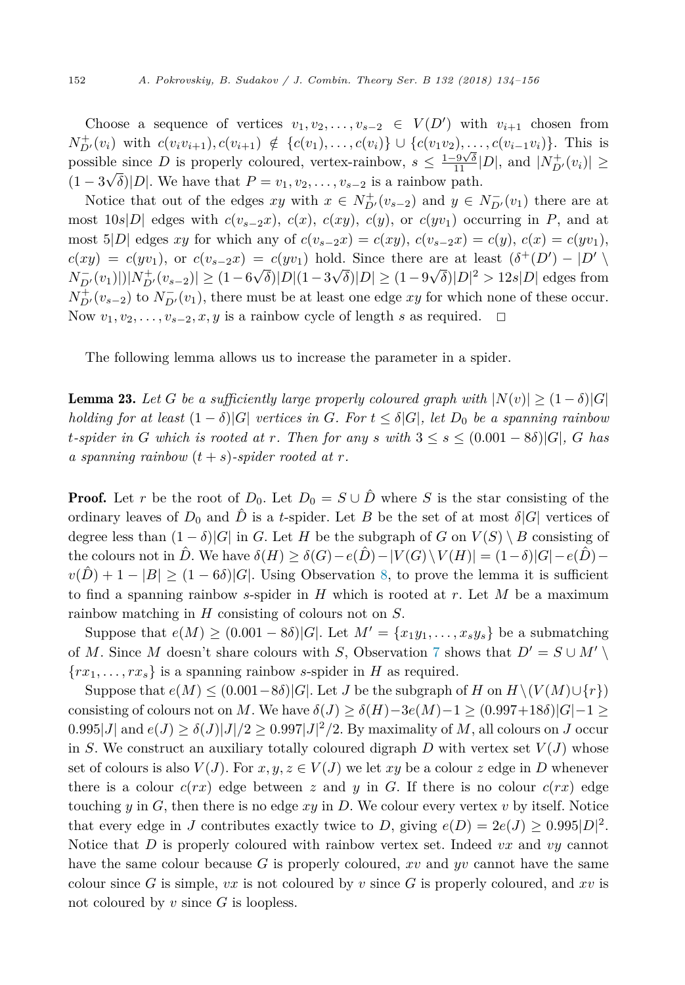Choose a sequence of vertices  $v_1, v_2, \ldots, v_{s-2} \in V(D')$  with  $v_{i+1}$  chosen from  $N_{D'}^+(v_i)$  with  $c(v_i v_{i+1}), c(v_{i+1}) \notin \{c(v_1), \ldots, c(v_i)\} \cup \{c(v_1 v_2), \ldots, c(v_{i-1} v_i)\}.$  This is possible since *D* is properly coloured, vertex-rainbow,  $s \leq \frac{1-9\sqrt{\delta}}{11}|D|$ , and  $|N_{D'}^+(v_i)| \geq$  $(1-3\sqrt{\delta})|D|$ . We have that  $P = v_1, v_2, \ldots, v_{s-2}$  is a rainbow path.

Notice that out of the edges  $xy$  with  $x \in N_{D'}^+(v_{s-2})$  and  $y \in N_{D'}^-(v_1)$  there are at most  $10s|D|$  edges with  $c(v_{s-2}x)$ ,  $c(x)$ ,  $c(xy)$ ,  $c(y)$ , or  $c(yv_1)$  occurring in *P*, and at most 5|*D*| edges *xy* for which any of  $c(v_{s-2}x) = c(xy)$ ,  $c(v_{s-2}x) = c(y)$ ,  $c(x) = c(yv_1)$ ,  $c(xy) = c(yv_1)$ , or  $c(v_{s-2}x) = c(yv_1)$  hold. Since there are at least  $(\delta^+(D') - |D'|)$  $N_{D'}^-(v_1)|\big|N_{D'}^+(v_{s-2})\big| \ge (1-6\sqrt{\delta})|D|(1-3\sqrt{\delta})|D| \ge (1-9\sqrt{\delta})|D|^2 > 12s|D|$  edges from  $N_{D'}^+(v_{s-2})$  to  $N_{D'}^-(v_1)$ , there must be at least one edge *xy* for which none of these occur. Now  $v_1, v_2, \ldots, v_{s-2}, x, y$  is a rainbow cycle of length *s* as required.  $\Box$ 

The following lemma allows us to increase the parameter in a spider.

**Lemma 23.** Let *G* be a sufficiently large properly coloured graph with  $|N(v)| \geq (1 - \delta)|G|$ holding for at least  $(1 - \delta)|G|$  vertices in G. For  $t \leq \delta|G|$ , let  $D_0$  be a spanning rainbow t-spider in G which is rooted at r. Then for any s with  $3 \leq s \leq (0.001 - 8\delta)|G|$ , G has *a* spanning rainbow  $(t + s)$ -spider rooted at r.

**Proof.** Let *r* be the root of  $D_0$ . Let  $D_0 = S \cup \hat{D}$  where *S* is the star consisting of the ordinary leaves of  $D_0$  and  $\hat{D}$  is a *t*-spider. Let *B* be the set of at most  $\delta |G|$  vertices of degree less than  $(1 - \delta)|G|$  in *G*. Let *H* be the subgraph of *G* on  $V(S) \setminus B$  consisting of the colours not in  $\hat{D}$ . We have  $\delta(H) \geq \delta(G) - e(\hat{D}) - |V(G) \setminus V(H)| = (1 - \delta)|G| - e(\hat{D})$  $v(D) + 1 - |B| \ge (1 - 6\delta)|G|$ . Using Observation [8,](#page-3-0) to prove the lemma it is sufficient to find a spanning rainbow *s*-spider in *H* which is rooted at *r*. Let *M* be a maximum rainbow matching in *H* consisting of colours not on *S*.

Suppose that  $e(M) \ge (0.001 - 8\delta)|G|$ . Let  $M' = \{x_1y_1, \ldots, x_sy_s\}$  be a submatching of *M*. Since *M* doesn't share colours with *S*, Observation [7](#page-3-0) shows that  $D' = S \cup M' \setminus$  ${rx_1, \ldots, rx_s}$  is a spanning rainbow *s*-spider in *H* as required.

Suppose that  $e(M) \leq (0.001-8\delta)|G|$ . Let *J* be the subgraph of *H* on  $H \setminus (V(M) \cup \{r\})$ consisting of colours not on *M*. We have  $\delta(J) \geq \delta(H) - 3e(M) - 1 \geq (0.997 + 18\delta)|G| - 1 \geq$  $0.995|J|$  and  $e(J) \ge \delta(J)|J|/2 \ge 0.997|J|^2/2$ . By maximality of *M*, all colours on *J* occur in *S*. We construct an auxiliary totally coloured digraph *D* with vertex set  $V(J)$  whose set of colours is also  $V(J)$ . For  $x, y, z \in V(J)$  we let  $xy$  be a colour  $z$  edge in  $D$  whenever there is a colour  $c(rx)$  edge between  $z$  and  $y$  in  $G$ . If there is no colour  $c(rx)$  edge touching  $y$  in  $G$ , then there is no edge  $xy$  in  $D$ . We colour every vertex  $v$  by itself. Notice that every edge in *J* contributes exactly twice to *D*, giving  $e(D) = 2e(J) \ge 0.995|D|^2$ . Notice that *D* is properly coloured with rainbow vertex set. Indeed *vx* and *vy* cannot have the same colour because *G* is properly coloured, *xv* and *yv* cannot have the same colour since  $G$  is simple,  $vx$  is not coloured by  $v$  since  $G$  is properly coloured, and  $xv$  is not coloured by *v* since *G* is loopless.

<span id="page-18-0"></span>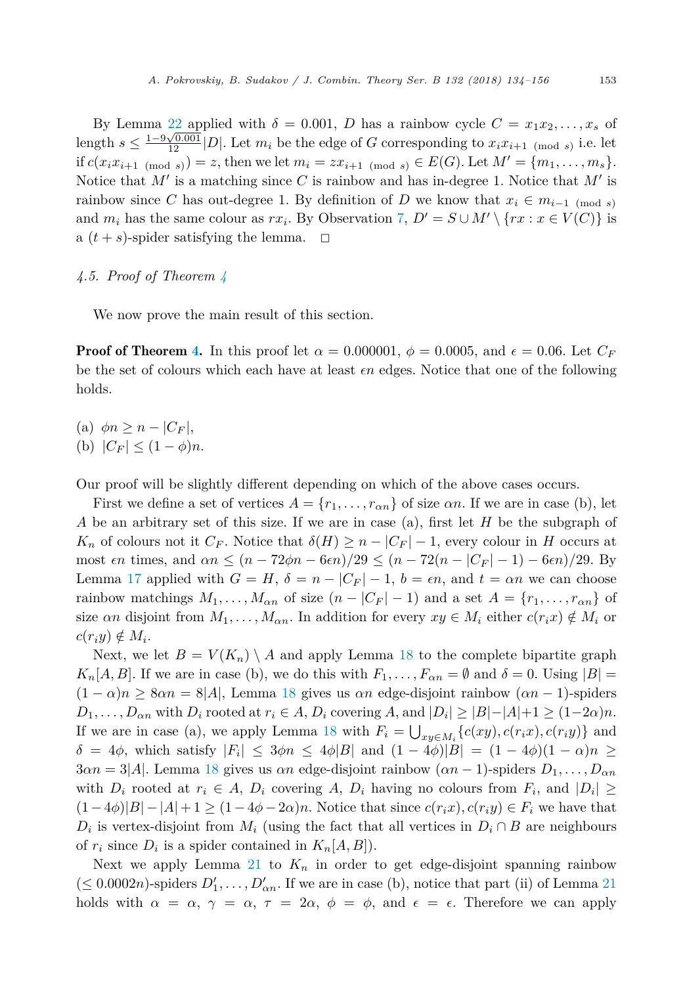By Lemma [22](#page-17-0) applied with  $\delta = 0.001$ , *D* has a rainbow cycle  $C = x_1 x_2, \ldots, x_s$  of length  $s \leq \frac{1-9\sqrt{0.001}}{12}|D|$ . Let  $m_i$  be the edge of *G* corresponding to  $x_i x_{i+1}$  (mod *s*) i.e. let if  $c(x_i x_{i+1 \pmod{s}}) = z$ , then we let  $m_i = z x_{i+1 \pmod{s}} \in E(G)$ . Let  $M' = \{m_1, \ldots, m_s\}$ . Notice that *M*<sup> $\prime$ </sup> is a matching since *C* is rainbow and has in-degree 1. Notice that *M*<sup> $\prime$ </sup> is rainbow since C has out-degree 1. By definition of D we know that  $x_i \in m_{i-1 \pmod{s}}$ and  $m_i$  has the same colour as  $rx_i$ . By Observation [7,](#page-3-0)  $D' = S \cup M' \setminus \{rx : x \in V(C)\}$  is a  $(t + s)$ -spider satisfying the lemma.  $\Box$ 

### *4.5. Proof of Theorem [4](#page-2-0)*

We now prove the main result of this section.

**Proof of Theorem [4.](#page-2-0)** In this proof let  $\alpha = 0.000001$ ,  $\phi = 0.0005$ , and  $\epsilon = 0.06$ . Let  $C_F$ be the set of colours which each have at least  $\epsilon n$  edges. Notice that one of the following holds.

- (a)  $\phi n \geq n |C_F|$ ,
- (b)  $|C_F| \leq (1 \phi)n$ .

Our proof will be slightly different depending on which of the above cases occurs.

First we define a set of vertices  $A = \{r_1, \ldots, r_{\alpha n}\}\$  of size  $\alpha n$ . If we are in case (b), let *A* be an arbitrary set of this size. If we are in case (a), first let *H* be the subgraph of *K<sub>n</sub>* of colours not it  $C_F$ . Notice that  $\delta(H) \geq n - |C_F| - 1$ , every colour in *H* occurs at  $\max$  *n* times, and  $\alpha n \le (n - 72\phi n - 6\epsilon n)/29 \le (n - 72(n - |C_F| - 1) - 6\epsilon n)/29$ . By Lemma [17](#page-11-0) applied with  $G = H$ ,  $\delta = n - |C_F| - 1$ ,  $b = \epsilon n$ , and  $t = \alpha n$  we can choose rainbow matchings  $M_1, \ldots, M_{\alpha n}$  of size  $(n - |C_F| - 1)$  and a set  $A = \{r_1, \ldots, r_{\alpha n}\}$  of size *αn* disjoint from  $M_1, \ldots, M_{\alpha n}$ . In addition for every  $xy \in M_i$  either  $c(r_i x) \notin M_i$  or  $c(r_i y) \notin M_i$ .

Next, we let  $B = V(K_n) \setminus A$  and apply Lemma [18](#page-12-0) to the complete bipartite graph *K<sub>n</sub>*[*A, B*]. If we are in case (b), we do this with  $F_1, \ldots, F_{\alpha n} = \emptyset$  and  $\delta = 0$ . Using  $|B| =$  $(1 - \alpha)n \geq 8\alpha n = 8|A|$ , Lemma [18](#page-12-0) gives us  $\alpha n$  edge-disjoint rainbow  $(\alpha n - 1)$ -spiders  $D_1, \ldots, D_{\alpha n}$  with  $D_i$  rooted at  $r_i \in A$ ,  $D_i$  covering  $A$ , and  $|D_i| \geq |B| - |A| + 1 \geq (1 - 2\alpha)n$ . If we are in case (a), we apply Lemma [18](#page-12-0) with  $F_i = \bigcup_{xy \in M_i} \{c(xy), c(r_i x), c(r_i y)\}$  and  $\delta = 4\phi$ , which satisfy  $|F_i| \leq 3\phi n \leq 4\phi |B|$  and  $(1-4\phi)|B| = (1-4\phi)(1-\alpha)n \geq$  $3\alpha n = 3|A|$ . Lemma [18](#page-12-0) gives us  $\alpha n$  edge-disjoint rainbow  $(\alpha n - 1)$ -spiders  $D_1, \ldots, D_{\alpha n}$ with  $D_i$  rooted at  $r_i \in A$ ,  $D_i$  covering  $A$ ,  $D_i$  having no colours from  $F_i$ , and  $|D_i| \geq$  $(1-4\phi)|B|-|A|+1 \geq (1-4\phi-2\alpha)n$ . Notice that since  $c(r_ix)$ ,  $c(r_iy) \in F_i$  we have that  $D_i$  is vertex-disjoint from  $M_i$  (using the fact that all vertices in  $D_i \cap B$  are neighbours of  $r_i$  since  $D_i$  is a spider contained in  $K_n[A, B]$ ).

Next we apply Lemma [21](#page-16-0) to  $K_n$  in order to get edge-disjoint spanning rainbow  $(\leq 0.0002n)$ -spiders  $D'_1, \ldots, D'_{\alpha n}$ . If we are in case (b), notice that part (ii) of Lemma [21](#page-16-0) holds with  $\alpha = \alpha, \gamma = \alpha, \tau = 2\alpha, \phi = \phi, \text{ and } \epsilon = \epsilon.$  Therefore we can apply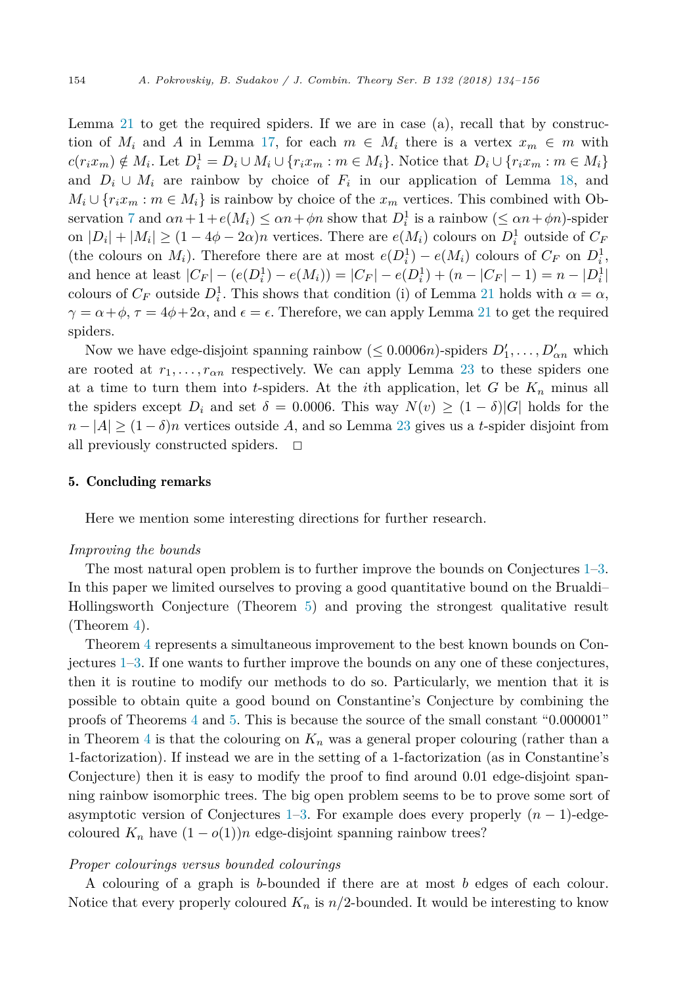Lemma [21](#page-16-0) to get the required spiders. If we are in case (a), recall that by construction of  $M_i$  and A in Lemma [17,](#page-11-0) for each  $m \in M_i$  there is a vertex  $x_m \in m$  with  $c(r_ix_m) \notin M_i$ . Let  $D_i^1 = D_i \cup M_i \cup \{r_ix_m : m \in M_i\}$ . Notice that  $D_i \cup \{r_ix_m : m \in M_i\}$ and  $D_i \cup M_i$  are rainbow by choice of  $F_i$  in our application of Lemma [18,](#page-12-0) and  $M_i \cup \{r_i x_m : m \in M_i\}$  is rainbow by choice of the  $x_m$  vertices. This combined with Ob-servation [7](#page-3-0) and  $\alpha n + 1 + e(M_i) \leq \alpha n + \phi n$  show that  $D_i^1$  is a rainbow  $(\leq \alpha n + \phi n)$ -spider on  $|D_i| + |M_i| \ge (1 - 4\phi - 2\alpha)n$  vertices. There are  $e(M_i)$  colours on  $D_i^1$  outside of  $C_F$ (the colours on *M<sub>i</sub>*). Therefore there are at most  $e(D_i^1) - e(M_i)$  colours of  $C_F$  on  $D_i^1$ , and hence at least  $|C_F| - (e(D_i^1) - e(M_i)) = |C_F| - e(D_i^1) + (n - |C_F| - 1) = n - |D_i^1|$ colours of  $C_F$  outside  $D_i^1$ . This shows that condition (i) of Lemma [21](#page-16-0) holds with  $\alpha = \alpha$ ,  $\gamma = \alpha + \phi$ ,  $\tau = 4\phi + 2\alpha$ , and  $\epsilon = \epsilon$ . Therefore, we can apply Lemma [21](#page-16-0) to get the required spiders.

Now we have edge-disjoint spanning rainbow  $(\leq 0.0006n)$ -spiders  $D'_1, \ldots, D'_{\alpha n}$  which are rooted at  $r_1, \ldots, r_{\alpha n}$  respectively. We can apply Lemma [23](#page-18-0) to these spiders one at a time to turn them into *t*-spiders. At the *i*th application, let *G* be *K<sup>n</sup>* minus all the spiders except  $D_i$  and set  $\delta = 0.0006$ . This way  $N(v) > (1 - \delta)|G|$  holds for the  $n - |A| \ge (1 - \delta)n$  vertices outside *A*, and so Lemma [23](#page-18-0) gives us a *t*-spider disjoint from all previously constructed spiders.  $\Box$ all previously constructed spiders.

# 5. Concluding remarks

Here we mention some interesting directions for further research.

# *Improving the bounds*

The most natural open problem is to further improve the bounds on Conjectures [1–3.](#page-2-0) In this paper we limited ourselves to proving a good quantitative bound on the Brualdi– Hollingsworth Conjecture (Theorem [5\)](#page-3-0) and proving the strongest qualitative result (Theorem [4\)](#page-2-0).

Theorem [4](#page-2-0) represents a simultaneous improvement to the best known bounds on Conjectures [1–3.](#page-2-0) If one wants to further improve the bounds on any one of these conjectures, then it is routine to modify our methods to do so. Particularly, we mention that it is possible to obtain quite a good bound on Constantine's Conjecture by combining the proofs of Theorems [4](#page-2-0) and [5.](#page-3-0) This is because the source of the small constant "0.000001" in Theorem [4](#page-2-0) is that the colouring on  $K_n$  was a general proper colouring (rather than a 1-factorization). If instead we are in the setting of a 1-factorization (as in Constantine's Conjecture) then it is easy to modify the proof to find around 0*.*01 edge-disjoint spanning rainbow isomorphic trees. The big open problem seems to be to prove some sort of asymptotic version of Conjectures [1–3.](#page-2-0) For example does every properly (*n* − 1)-edgecoloured  $K_n$  have  $(1 - o(1))n$  edge-disjoint spanning rainbow trees?

#### *Proper colourings versus bounded colourings*

A colouring of a graph is *b*-bounded if there are at most *b* edges of each colour. Notice that every properly coloured  $K_n$  is  $n/2$ -bounded. It would be interesting to know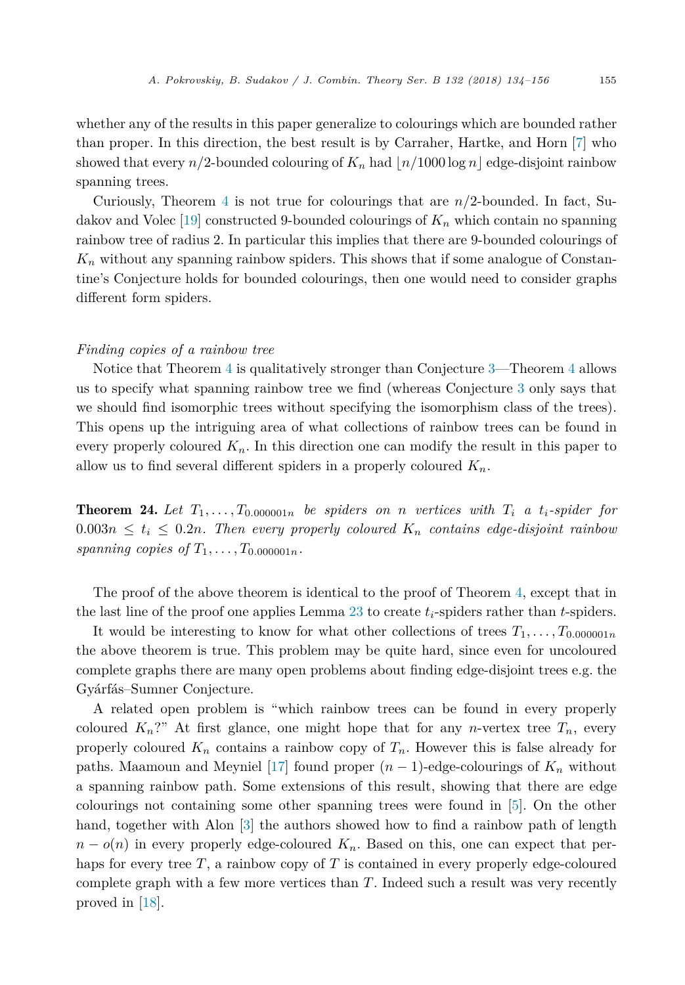whether any of the results in this paper generalize to colourings which are bounded rather than proper. In this direction, the best result is by Carraher, Hartke, and Horn [\[7\]](#page-22-0) who showed that every  $n/2$ -bounded colouring of  $K_n$  had  $n/1000 \log n$  edge-disjoint rainbow spanning trees.

Curiously, Theorem [4](#page-2-0) is not true for colourings that are *n/*2-bounded. In fact, Sudakov and Volec [\[19\]](#page-22-0) constructed 9-bounded colourings of *K<sup>n</sup>* which contain no spanning rainbow tree of radius 2. In particular this implies that there are 9-bounded colourings of  $K_n$  without any spanning rainbow spiders. This shows that if some analogue of Constantine's Conjecture holds for bounded colourings, then one would need to consider graphs different form spiders.

#### *Finding copies of a rainbow tree*

Notice that Theorem [4](#page-2-0) is qualitatively stronger than Conjecture [3—](#page-2-0)Theorem [4](#page-2-0) allows us to specify what spanning rainbow tree we find (whereas Conjecture [3](#page-2-0) only says that we should find isomorphic trees without specifying the isomorphism class of the trees). This opens up the intriguing area of what collections of rainbow trees can be found in every properly coloured  $K_n$ . In this direction one can modify the result in this paper to allow us to find several different spiders in a properly coloured *Kn*.

**Theorem 24.** Let  $T_1, \ldots, T_{0.000001n}$  be spiders on *n* vertices with  $T_i$  *a*  $t_i$ -spider for  $0.003n \le t_i \le 0.2n$ *. Then every properly coloured*  $K_n$  *contains edge-disjoint rainbow spanning copies of*  $T_1, \ldots, T_{0.000001n}$ .

The proof of the above theorem is identical to the proof of Theorem [4,](#page-2-0) except that in the last line of the proof one applies Lemma [23](#page-18-0) to create *ti*-spiders rather than *t*-spiders.

It would be interesting to know for what other collections of trees  $T_1, \ldots, T_{0.000001n}$ the above theorem is true. This problem may be quite hard, since even for uncoloured complete graphs there are many open problems about finding edge-disjoint trees e.g. the Gyárfás–Sumner Conjecture.

A related open problem is "which rainbow trees can be found in every properly coloured  $K_n$ ?" At first glance, one might hope that for any *n*-vertex tree  $T_n$ , every properly coloured  $K_n$  contains a rainbow copy of  $T_n$ . However this is false already for paths. Maamoun and Meyniel [\[17\]](#page-22-0) found proper  $(n-1)$ -edge-colourings of  $K_n$  without a spanning rainbow path. Some extensions of this result, showing that there are edge colourings not containing some other spanning trees were found in [\[5\]](#page-22-0). On the other hand, together with Alon [\[3\]](#page-22-0) the authors showed how to find a rainbow path of length  $n - o(n)$  in every properly edge-coloured  $K_n$ . Based on this, one can expect that perhaps for every tree *T*, a rainbow copy of *T* is contained in every properly edge-coloured complete graph with a few more vertices than *T*. Indeed such a result was very recently proved in [\[18\]](#page-22-0).